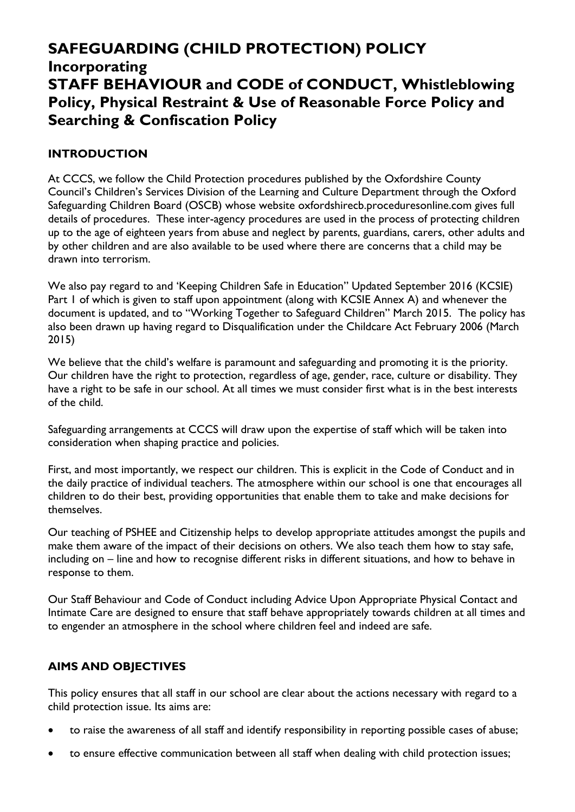# **SAFEGUARDING (CHILD PROTECTION) POLICY Incorporating STAFF BEHAVIOUR and CODE of CONDUCT, Whistleblowing Policy, Physical Restraint & Use of Reasonable Force Policy and Searching & Confiscation Policy**

## **INTRODUCTION**

At CCCS, we follow the Child Protection procedures published by the Oxfordshire County Council's Children's Services Division of the Learning and Culture Department through the Oxford Safeguarding Children Board (OSCB) whose website oxfordshirecb.proceduresonline.com gives full details of procedures. These inter-agency procedures are used in the process of protecting children up to the age of eighteen years from abuse and neglect by parents, guardians, carers, other adults and by other children and are also available to be used where there are concerns that a child may be drawn into terrorism.

We also pay regard to and 'Keeping Children Safe in Education" Updated September 2016 (KCSIE) Part I of which is given to staff upon appointment (along with KCSIE Annex A) and whenever the document is updated, and to "Working Together to Safeguard Children" March 2015. The policy has also been drawn up having regard to Disqualification under the Childcare Act February 2006 (March 2015)

We believe that the child's welfare is paramount and safeguarding and promoting it is the priority. Our children have the right to protection, regardless of age, gender, race, culture or disability. They have a right to be safe in our school. At all times we must consider first what is in the best interests of the child.

Safeguarding arrangements at CCCS will draw upon the expertise of staff which will be taken into consideration when shaping practice and policies.

First, and most importantly, we respect our children. This is explicit in the Code of Conduct and in the daily practice of individual teachers. The atmosphere within our school is one that encourages all children to do their best, providing opportunities that enable them to take and make decisions for themselves.

Our teaching of PSHEE and Citizenship helps to develop appropriate attitudes amongst the pupils and make them aware of the impact of their decisions on others. We also teach them how to stay safe, including on – line and how to recognise different risks in different situations, and how to behave in response to them.

Our Staff Behaviour and Code of Conduct including Advice Upon Appropriate Physical Contact and Intimate Care are designed to ensure that staff behave appropriately towards children at all times and to engender an atmosphere in the school where children feel and indeed are safe.

## **AIMS AND OBJECTIVES**

This policy ensures that all staff in our school are clear about the actions necessary with regard to a child protection issue. Its aims are:

- to raise the awareness of all staff and identify responsibility in reporting possible cases of abuse;
- to ensure effective communication between all staff when dealing with child protection issues;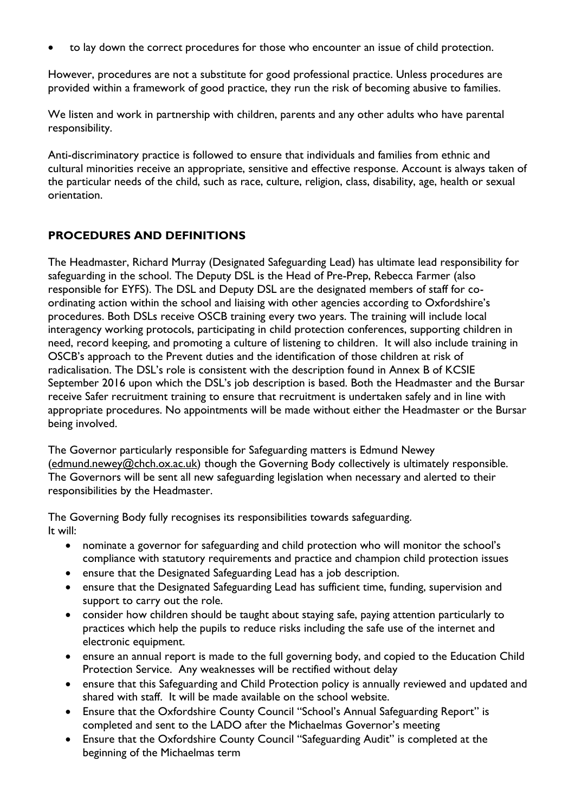to lay down the correct procedures for those who encounter an issue of child protection.

However, procedures are not a substitute for good professional practice. Unless procedures are provided within a framework of good practice, they run the risk of becoming abusive to families.

We listen and work in partnership with children, parents and any other adults who have parental responsibility.

Anti-discriminatory practice is followed to ensure that individuals and families from ethnic and cultural minorities receive an appropriate, sensitive and effective response. Account is always taken of the particular needs of the child, such as race, culture, religion, class, disability, age, health or sexual orientation.

## **PROCEDURES AND DEFINITIONS**

The Headmaster, Richard Murray (Designated Safeguarding Lead) has ultimate lead responsibility for safeguarding in the school. The Deputy DSL is the Head of Pre-Prep, Rebecca Farmer (also responsible for EYFS). The DSL and Deputy DSL are the designated members of staff for coordinating action within the school and liaising with other agencies according to Oxfordshire's procedures. Both DSLs receive OSCB training every two years. The training will include local interagency working protocols, participating in child protection conferences, supporting children in need, record keeping, and promoting a culture of listening to children. It will also include training in OSCB's approach to the Prevent duties and the identification of those children at risk of radicalisation. The DSL's role is consistent with the description found in Annex B of KCSIE September 2016 upon which the DSL's job description is based. Both the Headmaster and the Bursar receive Safer recruitment training to ensure that recruitment is undertaken safely and in line with appropriate procedures. No appointments will be made without either the Headmaster or the Bursar being involved.

The Governor particularly responsible for Safeguarding matters is Edmund Newey [\(edmund.newey@chch.ox.ac.uk\)](mailto:edmund.newey@chch.ox.ac.uk) though the Governing Body collectively is ultimately responsible. The Governors will be sent all new safeguarding legislation when necessary and alerted to their responsibilities by the Headmaster.

The Governing Body fully recognises its responsibilities towards safeguarding. It will:

- nominate a governor for safeguarding and child protection who will monitor the school's compliance with statutory requirements and practice and champion child protection issues
- ensure that the Designated Safeguarding Lead has a job description.
- ensure that the Designated Safeguarding Lead has sufficient time, funding, supervision and support to carry out the role.
- consider how children should be taught about staying safe, paying attention particularly to practices which help the pupils to reduce risks including the safe use of the internet and electronic equipment.
- ensure an annual report is made to the full governing body, and copied to the Education Child Protection Service. Any weaknesses will be rectified without delay
- ensure that this Safeguarding and Child Protection policy is annually reviewed and updated and shared with staff. It will be made available on the school website.
- Ensure that the Oxfordshire County Council "School's Annual Safeguarding Report" is completed and sent to the LADO after the Michaelmas Governor's meeting
- Ensure that the Oxfordshire County Council "Safeguarding Audit" is completed at the beginning of the Michaelmas term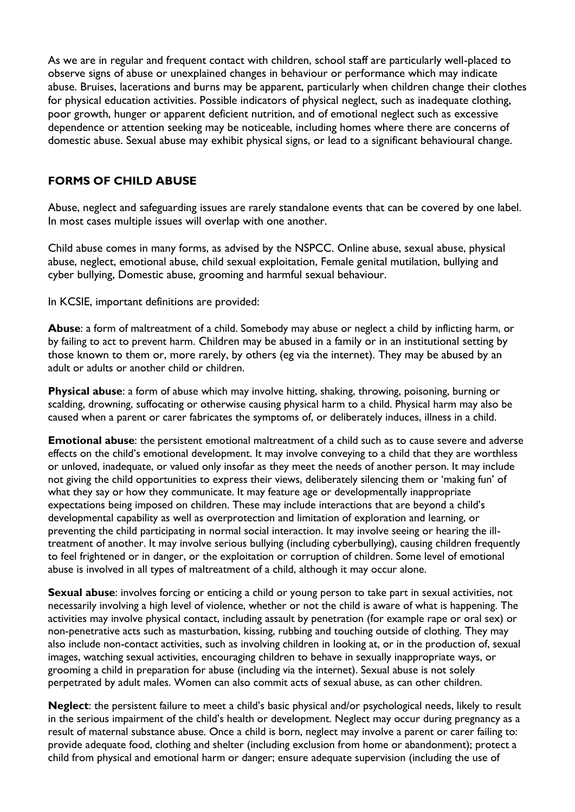As we are in regular and frequent contact with children, school staff are particularly well-placed to observe signs of abuse or unexplained changes in behaviour or performance which may indicate abuse. Bruises, lacerations and burns may be apparent, particularly when children change their clothes for physical education activities. Possible indicators of physical neglect, such as inadequate clothing, poor growth, hunger or apparent deficient nutrition, and of emotional neglect such as excessive dependence or attention seeking may be noticeable, including homes where there are concerns of domestic abuse. Sexual abuse may exhibit physical signs, or lead to a significant behavioural change.

## **FORMS OF CHILD ABUSE**

Abuse, neglect and safeguarding issues are rarely standalone events that can be covered by one label. In most cases multiple issues will overlap with one another.

Child abuse comes in many forms, as advised by the NSPCC. Online abuse, sexual abuse, physical abuse, neglect, emotional abuse, child sexual exploitation, Female genital mutilation, bullying and cyber bullying, Domestic abuse, grooming and harmful sexual behaviour.

In KCSIE, important definitions are provided:

**Abuse**: a form of maltreatment of a child. Somebody may abuse or neglect a child by inflicting harm, or by failing to act to prevent harm. Children may be abused in a family or in an institutional setting by those known to them or, more rarely, by others (eg via the internet). They may be abused by an adult or adults or another child or children.

**Physical abuse**: a form of abuse which may involve hitting, shaking, throwing, poisoning, burning or scalding, drowning, suffocating or otherwise causing physical harm to a child. Physical harm may also be caused when a parent or carer fabricates the symptoms of, or deliberately induces, illness in a child.

**Emotional abuse**: the persistent emotional maltreatment of a child such as to cause severe and adverse effects on the child's emotional development. It may involve conveying to a child that they are worthless or unloved, inadequate, or valued only insofar as they meet the needs of another person. It may include not giving the child opportunities to express their views, deliberately silencing them or 'making fun' of what they say or how they communicate. It may feature age or developmentally inappropriate expectations being imposed on children. These may include interactions that are beyond a child's developmental capability as well as overprotection and limitation of exploration and learning, or preventing the child participating in normal social interaction. It may involve seeing or hearing the illtreatment of another. It may involve serious bullying (including cyberbullying), causing children frequently to feel frightened or in danger, or the exploitation or corruption of children. Some level of emotional abuse is involved in all types of maltreatment of a child, although it may occur alone.

**Sexual abuse**: involves forcing or enticing a child or young person to take part in sexual activities, not necessarily involving a high level of violence, whether or not the child is aware of what is happening. The activities may involve physical contact, including assault by penetration (for example rape or oral sex) or non-penetrative acts such as masturbation, kissing, rubbing and touching outside of clothing. They may also include non-contact activities, such as involving children in looking at, or in the production of, sexual images, watching sexual activities, encouraging children to behave in sexually inappropriate ways, or grooming a child in preparation for abuse (including via the internet). Sexual abuse is not solely perpetrated by adult males. Women can also commit acts of sexual abuse, as can other children.

**Neglect**: the persistent failure to meet a child's basic physical and/or psychological needs, likely to result in the serious impairment of the child's health or development. Neglect may occur during pregnancy as a result of maternal substance abuse. Once a child is born, neglect may involve a parent or carer failing to: provide adequate food, clothing and shelter (including exclusion from home or abandonment); protect a child from physical and emotional harm or danger; ensure adequate supervision (including the use of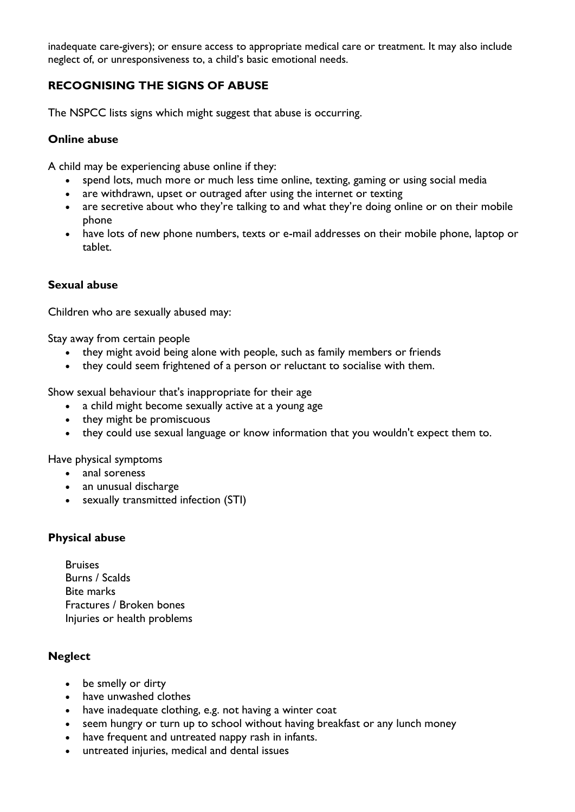inadequate care-givers); or ensure access to appropriate medical care or treatment. It may also include neglect of, or unresponsiveness to, a child's basic emotional needs.

## **RECOGNISING THE SIGNS OF ABUSE**

The NSPCC lists signs which might suggest that abuse is occurring.

#### **Online abuse**

A child may be experiencing abuse online if they:

- spend lots, much more or much less time online, texting, gaming or using social media
- are withdrawn, upset or outraged after using the internet or texting
- are secretive about who they're talking to and what they're doing online or on their mobile phone
- have lots of new phone numbers, texts or e-mail addresses on their mobile phone, laptop or tablet.

## **Sexual abuse**

Children who are sexually abused may:

Stay away from certain people

- they might avoid being alone with people, such as family members or friends
- they could seem frightened of a person or reluctant to socialise with them.

Show sexual behaviour that's inappropriate for their age

- a child might become sexually active at a young age
- they might be promiscuous
- they could use sexual language or know information that [you wouldn't expect them to.](http://www.nspcc.org.uk/preventing-abuse/keeping-children-safe/healthy-sexual-behaviour-children-young-people/)

Have physical symptoms

- anal soreness
- an unusual discharge
- sexually transmitted infection (STI)

## **Physical abuse**

**Bruises** Burns / Scalds Bite marks Fractures / Broken bones Injuries or health problems

## **Neglect**

- be smelly or dirty
- have unwashed clothes
- have inadequate clothing, e.g. not having a winter coat
- seem hungry or turn up to school without having breakfast or any lunch money
- have frequent and untreated nappy rash in infants.
- untreated injuries, medical and [dental issues](http://www.nhs.uk/conditions/Dental-decay/Pages/Introduction.aspx)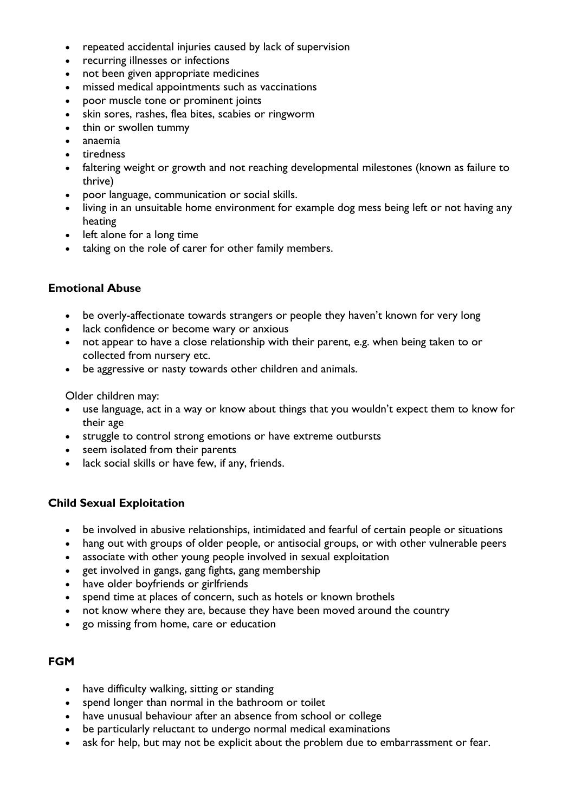- repeated accidental injuries caused by lack of supervision
- recurring illnesses or infections
- not been given appropriate medicines
- missed medical appointments such as [vaccinations](http://www.nhs.uk/conditions/vaccinations/Pages/vaccination-schedule-age-checklist.aspx)
- poor muscle tone or prominent joints
- skin sores, rashes, flea bites, [scabies](http://www.nhs.uk/conditions/Scabies/Pages/Introduction.aspx) or [ringworm](http://www.nhs.uk/conditions/Ringworm/Pages/Introduction.aspx)
- thin or swollen tummy
- [anaemia](http://www.nhs.uk/conditions/Anaemia-iron-deficiency-/Pages/Introduction.aspx)
- tiredness
- faltering weight or growth and not reaching developmental milestones (known as failure to thrive)
- poor language, communication or social skills.
- living in an unsuitable home environment for example dog mess being left or not having any heating
- left alone for a long time
- taking on the role of carer for other family members.

#### **Emotional Abuse**

- be overly-affectionate towards strangers or people they haven't known for very long
- lack confidence or become wary or anxious
- not appear to have a close relationship with their parent, e.g. when being taken to or collected from nursery etc.
- be aggressive or nasty towards other children and animals.

Older children may:

- use language, act in a way or know about things that you wouldn't expect them to [know for](http://www.nspcc.org.uk/preventing-abuse/keeping-children-safe/healthy-sexual-behaviour-children-young-people/)  [their age](http://www.nspcc.org.uk/preventing-abuse/keeping-children-safe/healthy-sexual-behaviour-children-young-people/)
- struggle to control strong emotions or have extreme outbursts
- seem isolated from their parents
- lack social skills or have few, if any, friends.

## **Child Sexual Exploitation**

- be involved in abusive relationships, intimidated and fearful of certain people or situations
- hang out with groups of older people, or antisocial groups, or with other vulnerable peers
- associate with other young people involved in sexual exploitation
- get involved in gangs, gang fights, gang membership
- have older boyfriends or girlfriends
- spend time at places of concern, such as hotels or known brothels
- not know where they are, because they have been moved around the country
- go missing from home, care or education

## **FGM**

- have difficulty walking, sitting or standing
- spend longer than normal in the bathroom or toilet
- have unusual behaviour after an absence from school or college
- be particularly reluctant to undergo normal medical examinations
- ask for help, but may not be explicit about the problem due to embarrassment or fear.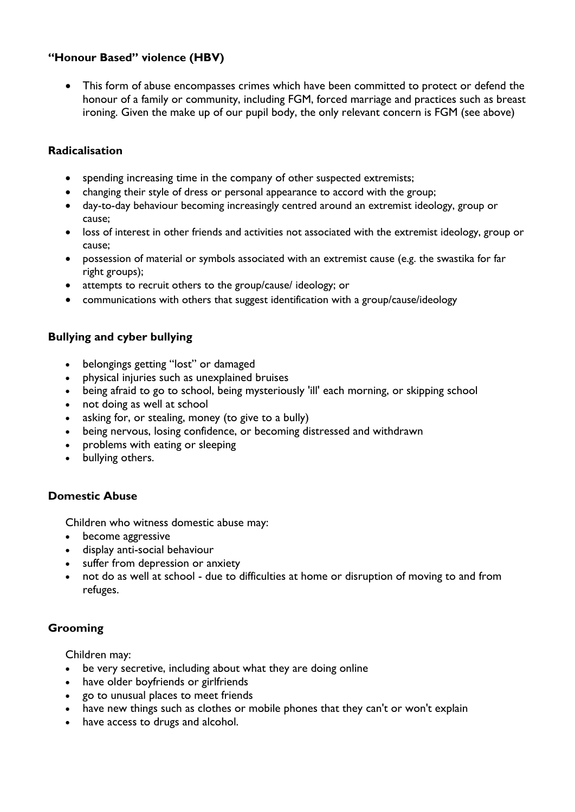## **"Honour Based" violence (HBV)**

 This form of abuse encompasses crimes which have been committed to protect or defend the honour of a family or community, including FGM, forced marriage and practices such as breast ironing. Given the make up of our pupil body, the only relevant concern is FGM (see above)

## **Radicalisation**

- spending increasing time in the company of other suspected extremists;
- changing their style of dress or personal appearance to accord with the group;
- day-to-day behaviour becoming increasingly centred around an extremist ideology, group or cause;
- loss of interest in other friends and activities not associated with the extremist ideology, group or cause;
- possession of material or symbols associated with an extremist cause (e.g. the swastika for far right groups);
- attempts to recruit others to the group/cause/ ideology; or
- communications with others that suggest identification with a group/cause/ideology

## **Bullying and cyber bullying**

- belongings getting "lost" or damaged
- physical injuries such as unexplained bruises
- being afraid to go to school, being mysteriously 'ill' each morning, or skipping school
- not doing as well at school
- asking for, or stealing, money (to give to a bully)
- being nervous, losing confidence, or becoming distressed and withdrawn
- problems with eating or sleeping
- bullying others.

## **Domestic Abuse**

Children who witness domestic abuse may:

- become aggressive
- display anti-social behaviour
- suffer from depression or anxiety
- not do as well at school due to difficulties at home or disruption of moving to and from refuges.

## **Grooming**

Children may:

- be very secretive, including about what they are doing online
- have older boyfriends or girlfriends
- go to unusual places to meet friends
- have new things such as clothes or mobile phones that they can't or won't explain
- have access to drugs and alcohol.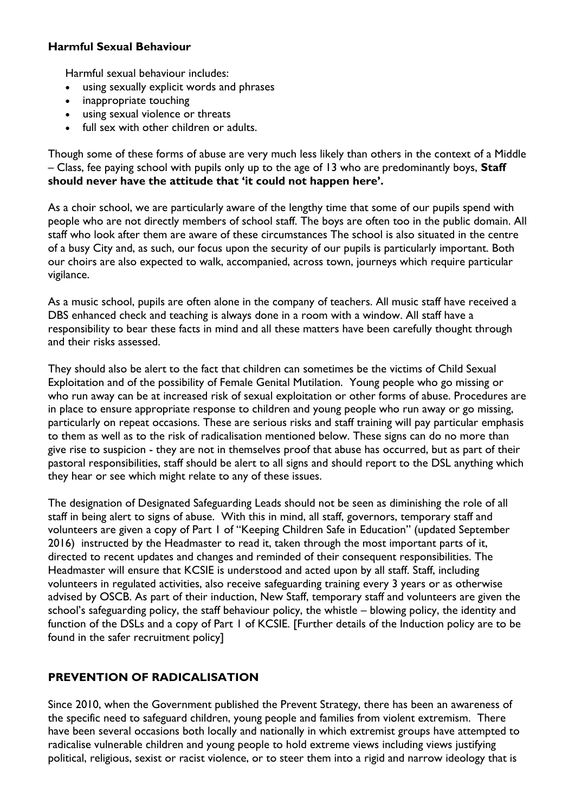## **Harmful Sexual Behaviour**

Harmful sexual behaviour includes:

- using sexually explicit words and phrases
- inappropriate touching
- using sexual violence or threats
- full sex with other children or adults.

Though some of these forms of abuse are very much less likely than others in the context of a Middle – Class, fee paying school with pupils only up to the age of 13 who are predominantly boys, **Staff should never have the attitude that 'it could not happen here'.**

As a choir school, we are particularly aware of the lengthy time that some of our pupils spend with people who are not directly members of school staff. The boys are often too in the public domain. All staff who look after them are aware of these circumstances The school is also situated in the centre of a busy City and, as such, our focus upon the security of our pupils is particularly important. Both our choirs are also expected to walk, accompanied, across town, journeys which require particular vigilance.

As a music school, pupils are often alone in the company of teachers. All music staff have received a DBS enhanced check and teaching is always done in a room with a window. All staff have a responsibility to bear these facts in mind and all these matters have been carefully thought through and their risks assessed.

They should also be alert to the fact that children can sometimes be the victims of Child Sexual Exploitation and of the possibility of Female Genital Mutilation. Young people who go missing or who run away can be at increased risk of sexual exploitation or other forms of abuse. Procedures are in place to ensure appropriate response to children and young people who run away or go missing, particularly on repeat occasions. These are serious risks and staff training will pay particular emphasis to them as well as to the risk of radicalisation mentioned below. These signs can do no more than give rise to suspicion - they are not in themselves proof that abuse has occurred, but as part of their pastoral responsibilities, staff should be alert to all signs and should report to the DSL anything which they hear or see which might relate to any of these issues.

The designation of Designated Safeguarding Leads should not be seen as diminishing the role of all staff in being alert to signs of abuse. With this in mind, all staff, governors, temporary staff and volunteers are given a copy of Part 1 of "Keeping Children Safe in Education" (updated September 2016) instructed by the Headmaster to read it, taken through the most important parts of it, directed to recent updates and changes and reminded of their consequent responsibilities. The Headmaster will ensure that KCSIE is understood and acted upon by all staff. Staff, including volunteers in regulated activities, also receive safeguarding training every 3 years or as otherwise advised by OSCB. As part of their induction, New Staff, temporary staff and volunteers are given the school's safeguarding policy, the staff behaviour policy, the whistle – blowing policy, the identity and function of the DSLs and a copy of Part 1 of KCSIE. [Further details of the Induction policy are to be found in the safer recruitment policy]

## **PREVENTION OF RADICALISATION**

Since 2010, when the Government published the Prevent Strategy, there has been an awareness of the specific need to safeguard children, young people and families from violent extremism. There have been several occasions both locally and nationally in which extremist groups have attempted to radicalise vulnerable children and young people to hold extreme views including views justifying political, religious, sexist or racist violence, or to steer them into a rigid and narrow ideology that is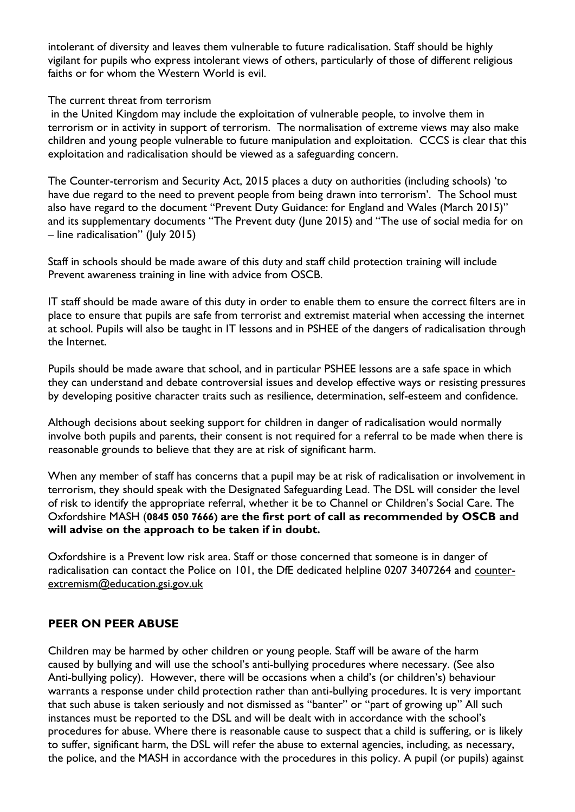intolerant of diversity and leaves them vulnerable to future radicalisation. Staff should be highly vigilant for pupils who express intolerant views of others, particularly of those of different religious faiths or for whom the Western World is evil.

#### The current threat from terrorism

in the United Kingdom may include the exploitation of vulnerable people, to involve them in terrorism or in activity in support of terrorism. The normalisation of extreme views may also make children and young people vulnerable to future manipulation and exploitation. CCCS is clear that this exploitation and radicalisation should be viewed as a safeguarding concern.

The Counter-terrorism and Security Act, 2015 places a duty on authorities (including schools) 'to have due regard to the need to prevent people from being drawn into terrorism'. The School must also have regard to the document "Prevent Duty Guidance: for England and Wales (March 2015)" and its supplementary documents "The Prevent duty (June 2015) and "The use of social media for on – line radicalisation" (July 2015)

Staff in schools should be made aware of this duty and staff child protection training will include Prevent awareness training in line with advice from OSCB.

IT staff should be made aware of this duty in order to enable them to ensure the correct filters are in place to ensure that pupils are safe from terrorist and extremist material when accessing the internet at school. Pupils will also be taught in IT lessons and in PSHEE of the dangers of radicalisation through the Internet.

Pupils should be made aware that school, and in particular PSHEE lessons are a safe space in which they can understand and debate controversial issues and develop effective ways or resisting pressures by developing positive character traits such as resilience, determination, self-esteem and confidence.

Although decisions about seeking support for children in danger of radicalisation would normally involve both pupils and parents, their consent is not required for a referral to be made when there is reasonable grounds to believe that they are at risk of significant harm.

When any member of staff has concerns that a pupil may be at risk of radicalisation or involvement in terrorism, they should speak with the Designated Safeguarding Lead. The DSL will consider the level of risk to identify the appropriate referral, whether it be to Channel or Children's Social Care. The Oxfordshire MASH (**0845 050 7666) are the first port of call as recommended by OSCB and will advise on the approach to be taken if in doubt.**

Oxfordshire is a Prevent low risk area. Staff or those concerned that someone is in danger of radicalisation can contact the Police on 101, the DfE dedicated helpline 0207 3407264 and [counter](mailto:counter-extremism@education.gsi.gov.uk)[extremism@education.gsi.gov.uk](mailto:counter-extremism@education.gsi.gov.uk)

## **PEER ON PEER ABUSE**

Children may be harmed by other children or young people. Staff will be aware of the harm caused by bullying and will use the school's anti-bullying procedures where necessary. (See also Anti-bullying policy). However, there will be occasions when a child's (or children's) behaviour warrants a response under child protection rather than anti-bullying procedures. It is very important that such abuse is taken seriously and not dismissed as "banter" or "part of growing up" All such instances must be reported to the DSL and will be dealt with in accordance with the school's procedures for abuse. Where there is reasonable cause to suspect that a child is suffering, or is likely to suffer, significant harm, the DSL will refer the abuse to external agencies, including, as necessary, the police, and the MASH in accordance with the procedures in this policy. A pupil (or pupils) against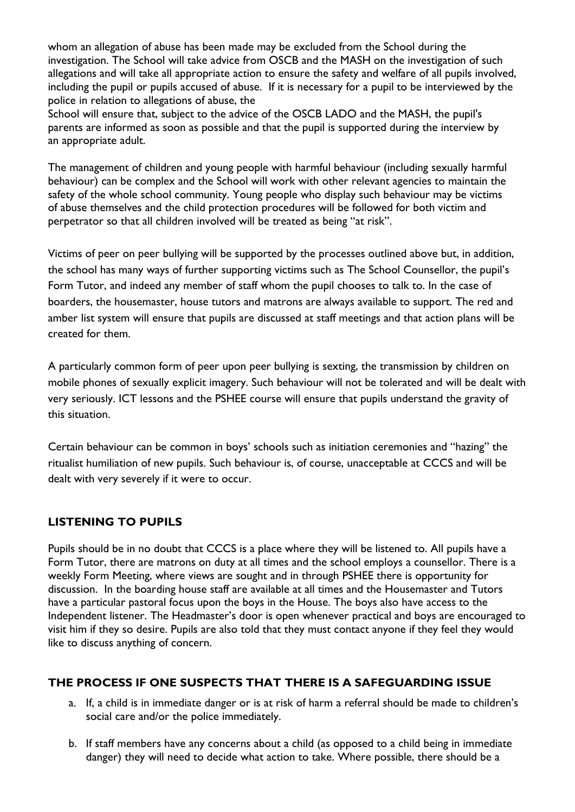whom an allegation of abuse has been made may be excluded from the School during the investigation. The School will take advice from OSCB and the MASH on the investigation of such allegations and will take all appropriate action to ensure the safety and welfare of all pupils involved, including the pupil or pupils accused of abuse. If it is necessary for a pupil to be interviewed by the police in relation to allegations of abuse, the

School will ensure that, subject to the advice of the OSCB LADO and the MASH, the pupil's parents are informed as soon as possible and that the pupil is supported during the interview by an appropriate adult.

The management of children and young people with harmful behaviour (including sexually harmful behaviour) can be complex and the School will work with other relevant agencies to maintain the safety of the whole school community. Young people who display such behaviour may be victims of abuse themselves and the child protection procedures will be followed for both victim and perpetrator so that all children involved will be treated as being "at risk".

Victims of peer on peer bullying will be supported by the processes outlined above but, in addition, the school has many ways of further supporting victims such as The School Counsellor, the pupil's Form Tutor, and indeed any member of staff whom the pupil chooses to talk to. In the case of boarders, the housemaster, house tutors and matrons are always available to support. The red and amber list system will ensure that pupils are discussed at staff meetings and that action plans will be created for them.

A particularly common form of peer upon peer bullying is sexting, the transmission by children on mobile phones of sexually explicit imagery. Such behaviour will not be tolerated and will be dealt with very seriously. ICT lessons and the PSHEE course will ensure that pupils understand the gravity of this situation.

Certain behaviour can be common in boys' schools such as initiation ceremonies and "hazing" the ritualist humiliation of new pupils. Such behaviour is, of course, unacceptable at CCCS and will be dealt with very severely if it were to occur.

## **LISTENING TO PUPILS**

Pupils should be in no doubt that CCCS is a place where they will be listened to. All pupils have a Form Tutor, there are matrons on duty at all times and the school employs a counsellor. There is a weekly Form Meeting, where views are sought and in through PSHEE there is opportunity for discussion. In the boarding house staff are available at all times and the Housemaster and Tutors have a particular pastoral focus upon the boys in the House. The boys also have access to the Independent listener. The Headmaster's door is open whenever practical and boys are encouraged to visit him if they so desire. Pupils are also told that they must contact anyone if they feel they would like to discuss anything of concern.

## **THE PROCESS IF ONE SUSPECTS THAT THERE IS A SAFEGUARDING ISSUE**

- a. If, a child is in immediate danger or is at risk of harm a referral should be made to children's social care and/or the police immediately.
- b. If staff members have any concerns about a child (as opposed to a child being in immediate danger) they will need to decide what action to take. Where possible, there should be a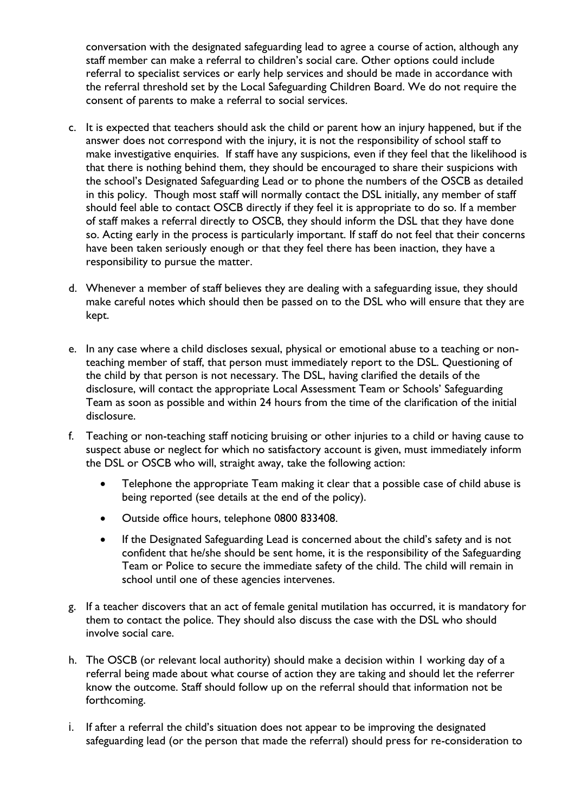conversation with the designated safeguarding lead to agree a course of action, although any staff member can make a referral to children's social care. Other options could include referral to specialist services or early help services and should be made in accordance with the referral threshold set by the Local Safeguarding Children Board. We do not require the consent of parents to make a referral to social services.

- c. It is expected that teachers should ask the child or parent how an injury happened, but if the answer does not correspond with the injury, it is not the responsibility of school staff to make investigative enquiries. If staff have any suspicions, even if they feel that the likelihood is that there is nothing behind them, they should be encouraged to share their suspicions with the school's Designated Safeguarding Lead or to phone the numbers of the OSCB as detailed in this policy. Though most staff will normally contact the DSL initially, any member of staff should feel able to contact OSCB directly if they feel it is appropriate to do so. If a member of staff makes a referral directly to OSCB, they should inform the DSL that they have done so. Acting early in the process is particularly important. If staff do not feel that their concerns have been taken seriously enough or that they feel there has been inaction, they have a responsibility to pursue the matter.
- d. Whenever a member of staff believes they are dealing with a safeguarding issue, they should make careful notes which should then be passed on to the DSL who will ensure that they are kept.
- e. In any case where a child discloses sexual, physical or emotional abuse to a teaching or nonteaching member of staff, that person must immediately report to the DSL. Questioning of the child by that person is not necessary. The DSL, having clarified the details of the disclosure, will contact the appropriate Local Assessment Team or Schools' Safeguarding Team as soon as possible and within 24 hours from the time of the clarification of the initial disclosure.
- f. Teaching or non-teaching staff noticing bruising or other injuries to a child or having cause to suspect abuse or neglect for which no satisfactory account is given, must immediately inform the DSL or OSCB who will, straight away, take the following action:
	- Telephone the appropriate Team making it clear that a possible case of child abuse is being reported (see details at the end of the policy).
	- Outside office hours, telephone 0800 833408.
	- If the Designated Safeguarding Lead is concerned about the child's safety and is not confident that he/she should be sent home, it is the responsibility of the Safeguarding Team or Police to secure the immediate safety of the child. The child will remain in school until one of these agencies intervenes.
- g. If a teacher discovers that an act of female genital mutilation has occurred, it is mandatory for them to contact the police. They should also discuss the case with the DSL who should involve social care.
- h. The OSCB (or relevant local authority) should make a decision within 1 working day of a referral being made about what course of action they are taking and should let the referrer know the outcome. Staff should follow up on the referral should that information not be forthcoming.
- i. If after a referral the child's situation does not appear to be improving the designated safeguarding lead (or the person that made the referral) should press for re-consideration to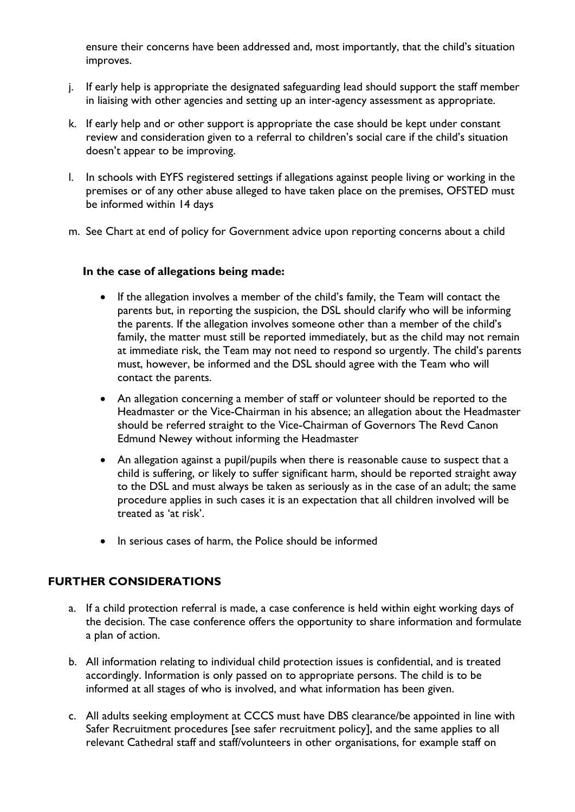ensure their concerns have been addressed and, most importantly, that the child's situation improves.

- j. If early help is appropriate the designated safeguarding lead should support the staff member in liaising with other agencies and setting up an inter-agency assessment as appropriate.
- k. If early help and or other support is appropriate the case should be kept under constant review and consideration given to a referral to children's social care if the child's situation doesn't appear to be improving.
- l. In schools with EYFS registered settings if allegations against people living or working in the premises or of any other abuse alleged to have taken place on the premises, OFSTED must be informed within 14 days
- m. See Chart at end of policy for Government advice upon reporting concerns about a child

#### **In the case of allegations being made:**

- If the allegation involves a member of the child's family, the Team will contact the parents but, in reporting the suspicion, the DSL should clarify who will be informing the parents. If the allegation involves someone other than a member of the child's family, the matter must still be reported immediately, but as the child may not remain at immediate risk, the Team may not need to respond so urgently. The child's parents must, however, be informed and the DSL should agree with the Team who will contact the parents.
- An allegation concerning a member of staff or volunteer should be reported to the Headmaster or the Vice-Chairman in his absence; an allegation about the Headmaster should be referred straight to the Vice-Chairman of Governors The Revd Canon Edmund Newey without informing the Headmaster
- An allegation against a pupil/pupils when there is reasonable cause to suspect that a child is suffering, or likely to suffer significant harm, should be reported straight away to the DSL and must always be taken as seriously as in the case of an adult; the same procedure applies in such cases it is an expectation that all children involved will be treated as 'at risk'.
- In serious cases of harm, the Police should be informed

## **FURTHER CONSIDERATIONS**

- a. If a child protection referral is made, a case conference is held within eight working days of the decision. The case conference offers the opportunity to share information and formulate a plan of action.
- b. All information relating to individual child protection issues is confidential, and is treated accordingly. Information is only passed on to appropriate persons. The child is to be informed at all stages of who is involved, and what information has been given.
- c. All adults seeking employment at CCCS must have DBS clearance/be appointed in line with Safer Recruitment procedures [see safer recruitment policy], and the same applies to all relevant Cathedral staff and staff/volunteers in other organisations, for example staff on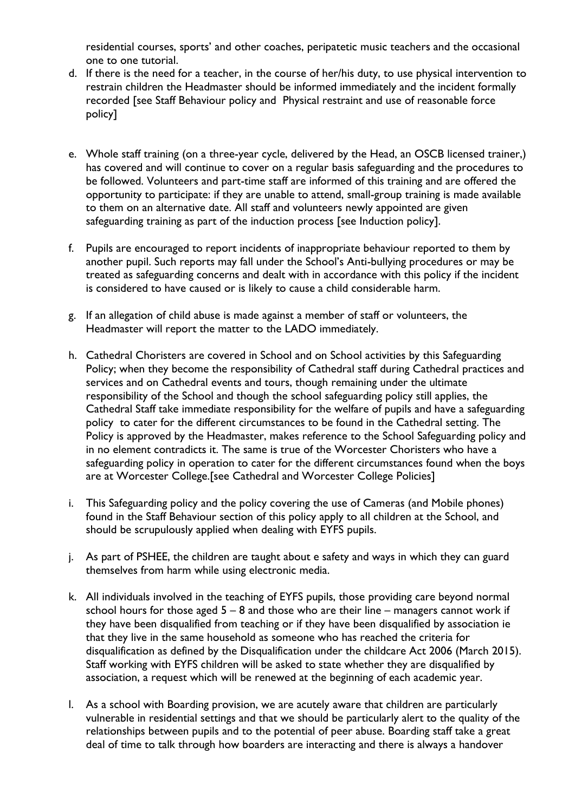residential courses, sports' and other coaches, peripatetic music teachers and the occasional one to one tutorial.

- d. If there is the need for a teacher, in the course of her/his duty, to use physical intervention to restrain children the Headmaster should be informed immediately and the incident formally recorded [see Staff Behaviour policy and Physical restraint and use of reasonable force policy]
- e. Whole staff training (on a three-year cycle, delivered by the Head, an OSCB licensed trainer,) has covered and will continue to cover on a regular basis safeguarding and the procedures to be followed. Volunteers and part-time staff are informed of this training and are offered the opportunity to participate: if they are unable to attend, small-group training is made available to them on an alternative date. All staff and volunteers newly appointed are given safeguarding training as part of the induction process [see Induction policy].
- f. Pupils are encouraged to report incidents of inappropriate behaviour reported to them by another pupil. Such reports may fall under the School's Anti-bullying procedures or may be treated as safeguarding concerns and dealt with in accordance with this policy if the incident is considered to have caused or is likely to cause a child considerable harm.
- g. If an allegation of child abuse is made against a member of staff or volunteers, the Headmaster will report the matter to the LADO immediately.
- h. Cathedral Choristers are covered in School and on School activities by this Safeguarding Policy; when they become the responsibility of Cathedral staff during Cathedral practices and services and on Cathedral events and tours, though remaining under the ultimate responsibility of the School and though the school safeguarding policy still applies, the Cathedral Staff take immediate responsibility for the welfare of pupils and have a safeguarding policy to cater for the different circumstances to be found in the Cathedral setting. The Policy is approved by the Headmaster, makes reference to the School Safeguarding policy and in no element contradicts it. The same is true of the Worcester Choristers who have a safeguarding policy in operation to cater for the different circumstances found when the boys are at Worcester College.[see Cathedral and Worcester College Policies]
- i. This Safeguarding policy and the policy covering the use of Cameras (and Mobile phones) found in the Staff Behaviour section of this policy apply to all children at the School, and should be scrupulously applied when dealing with EYFS pupils.
- j. As part of PSHEE, the children are taught about e safety and ways in which they can guard themselves from harm while using electronic media.
- k. All individuals involved in the teaching of EYFS pupils, those providing care beyond normal school hours for those aged  $5 - 8$  and those who are their line – managers cannot work if they have been disqualified from teaching or if they have been disqualified by association ie that they live in the same household as someone who has reached the criteria for disqualification as defined by the Disqualification under the childcare Act 2006 (March 2015). Staff working with EYFS children will be asked to state whether they are disqualified by association, a request which will be renewed at the beginning of each academic year.
- l. As a school with Boarding provision, we are acutely aware that children are particularly vulnerable in residential settings and that we should be particularly alert to the quality of the relationships between pupils and to the potential of peer abuse. Boarding staff take a great deal of time to talk through how boarders are interacting and there is always a handover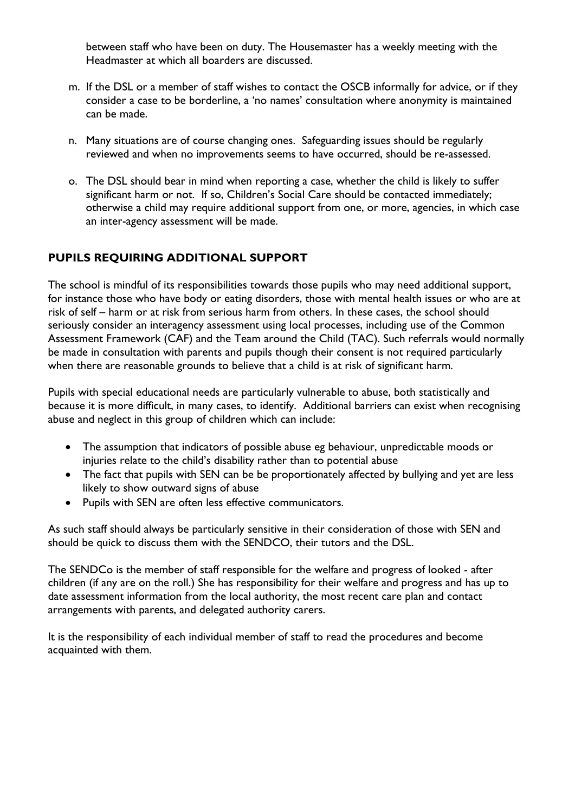between staff who have been on duty. The Housemaster has a weekly meeting with the Headmaster at which all boarders are discussed.

- m. If the DSL or a member of staff wishes to contact the OSCB informally for advice, or if they consider a case to be borderline, a 'no names' consultation where anonymity is maintained can be made.
- n. Many situations are of course changing ones. Safeguarding issues should be regularly reviewed and when no improvements seems to have occurred, should be re-assessed.
- o. The DSL should bear in mind when reporting a case, whether the child is likely to suffer significant harm or not. If so, Children's Social Care should be contacted immediately; otherwise a child may require additional support from one, or more, agencies, in which case an inter-agency assessment will be made.

## **PUPILS REQUIRING ADDITIONAL SUPPORT**

The school is mindful of its responsibilities towards those pupils who may need additional support, for instance those who have body or eating disorders, those with mental health issues or who are at risk of self – harm or at risk from serious harm from others. In these cases, the school should seriously consider an interagency assessment using local processes, including use of the Common Assessment Framework (CAF) and the Team around the Child (TAC). Such referrals would normally be made in consultation with parents and pupils though their consent is not required particularly when there are reasonable grounds to believe that a child is at risk of significant harm.

Pupils with special educational needs are particularly vulnerable to abuse, both statistically and because it is more difficult, in many cases, to identify. Additional barriers can exist when recognising abuse and neglect in this group of children which can include:

- The assumption that indicators of possible abuse eg behaviour, unpredictable moods or injuries relate to the child's disability rather than to potential abuse
- The fact that pupils with SEN can be be proportionately affected by bullying and yet are less likely to show outward signs of abuse
- Pupils with SEN are often less effective communicators.

As such staff should always be particularly sensitive in their consideration of those with SEN and should be quick to discuss them with the SENDCO, their tutors and the DSL.

The SENDCo is the member of staff responsible for the welfare and progress of looked - after children (if any are on the roll.) She has responsibility for their welfare and progress and has up to date assessment information from the local authority, the most recent care plan and contact arrangements with parents, and delegated authority carers.

It is the responsibility of each individual member of staff to read the procedures and become acquainted with them.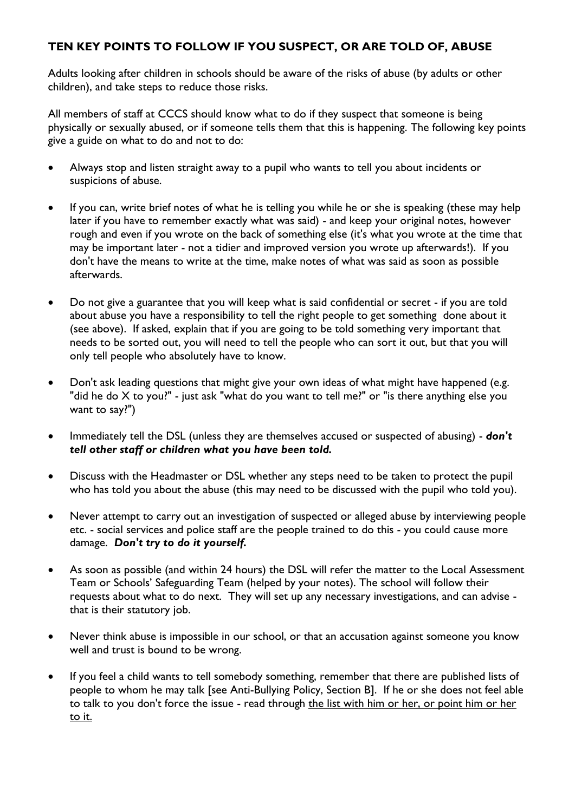## **TEN KEY POINTS TO FOLLOW IF YOU SUSPECT, OR ARE TOLD OF, ABUSE**

Adults looking after children in schools should be aware of the risks of abuse (by adults or other children), and take steps to reduce those risks.

All members of staff at CCCS should know what to do if they suspect that someone is being physically or sexually abused, or if someone tells them that this is happening. The following key points give a guide on what to do and not to do:

- Always stop and listen straight away to a pupil who wants to tell you about incidents or suspicions of abuse.
- If you can, write brief notes of what he is telling you while he or she is speaking (these may help later if you have to remember exactly what was said) - and keep your original notes, however rough and even if you wrote on the back of something else (it's what you wrote at the time that may be important later - not a tidier and improved version you wrote up afterwards!). If you don't have the means to write at the time, make notes of what was said as soon as possible afterwards.
- Do not give a guarantee that you will keep what is said confidential or secret if you are told about abuse you have a responsibility to tell the right people to get something done about it (see above). If asked, explain that if you are going to be told something very important that needs to be sorted out, you will need to tell the people who can sort it out, but that you will only tell people who absolutely have to know.
- Don't ask leading questions that might give your own ideas of what might have happened (e.g. "did he do X to you?" - just ask "what do you want to tell me?" or "is there anything else you want to say?")
- Immediately tell the DSL (unless they are themselves accused or suspected of abusing) *don't tell other staff or children what you have been told.*
- Discuss with the Headmaster or DSL whether any steps need to be taken to protect the pupil who has told you about the abuse (this may need to be discussed with the pupil who told you).
- Never attempt to carry out an investigation of suspected or alleged abuse by interviewing people etc. - social services and police staff are the people trained to do this - you could cause more damage. *Don't try to do it yourself.*
- As soon as possible (and within 24 hours) the DSL will refer the matter to the Local Assessment Team or Schools' Safeguarding Team (helped by your notes). The school will follow their requests about what to do next. They will set up any necessary investigations, and can advise that is their statutory job.
- Never think abuse is impossible in our school, or that an accusation against someone you know well and trust is bound to be wrong.
- If you feel a child wants to tell somebody something, remember that there are published lists of people to whom he may talk [see Anti-Bullying Policy, Section B]. If he or she does not feel able to talk to you don't force the issue - read through the list with him or her, or point him or her to it.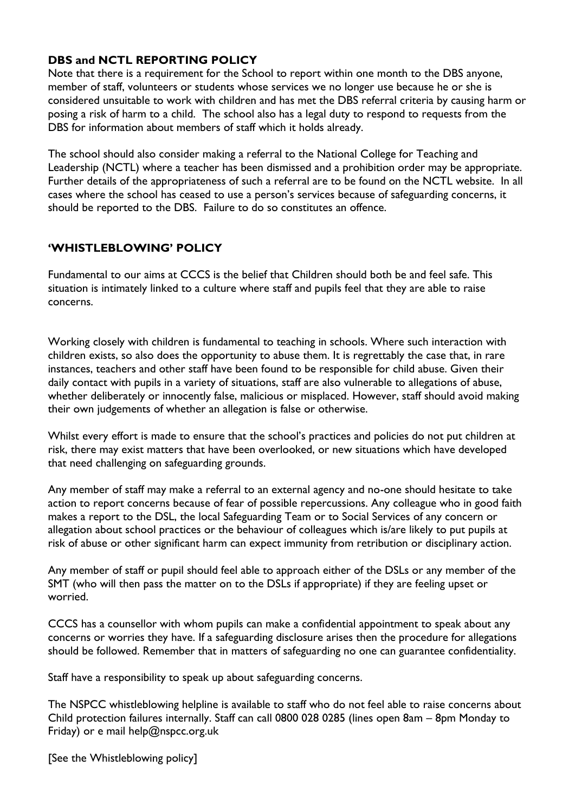## **DBS and NCTL REPORTING POLICY**

Note that there is a requirement for the School to report within one month to the DBS anyone, member of staff, volunteers or students whose services we no longer use because he or she is considered unsuitable to work with children and has met the DBS referral criteria by causing harm or posing a risk of harm to a child. The school also has a legal duty to respond to requests from the DBS for information about members of staff which it holds already.

The school should also consider making a referral to the National College for Teaching and Leadership (NCTL) where a teacher has been dismissed and a prohibition order may be appropriate. Further details of the appropriateness of such a referral are to be found on the NCTL website. In all cases where the school has ceased to use a person's services because of safeguarding concerns, it should be reported to the DBS. Failure to do so constitutes an offence.

## **'WHISTLEBLOWING' POLICY**

Fundamental to our aims at CCCS is the belief that Children should both be and feel safe. This situation is intimately linked to a culture where staff and pupils feel that they are able to raise concerns.

Working closely with children is fundamental to teaching in schools. Where such interaction with children exists, so also does the opportunity to abuse them. It is regrettably the case that, in rare instances, teachers and other staff have been found to be responsible for child abuse. Given their daily contact with pupils in a variety of situations, staff are also vulnerable to allegations of abuse, whether deliberately or innocently false, malicious or misplaced. However, staff should avoid making their own judgements of whether an allegation is false or otherwise.

Whilst every effort is made to ensure that the school's practices and policies do not put children at risk, there may exist matters that have been overlooked, or new situations which have developed that need challenging on safeguarding grounds.

Any member of staff may make a referral to an external agency and no-one should hesitate to take action to report concerns because of fear of possible repercussions. Any colleague who in good faith makes a report to the DSL, the local Safeguarding Team or to Social Services of any concern or allegation about school practices or the behaviour of colleagues which is/are likely to put pupils at risk of abuse or other significant harm can expect immunity from retribution or disciplinary action.

Any member of staff or pupil should feel able to approach either of the DSLs or any member of the SMT (who will then pass the matter on to the DSLs if appropriate) if they are feeling upset or worried.

CCCS has a counsellor with whom pupils can make a confidential appointment to speak about any concerns or worries they have. If a safeguarding disclosure arises then the procedure for allegations should be followed. Remember that in matters of safeguarding no one can guarantee confidentiality.

Staff have a responsibility to speak up about safeguarding concerns.

The NSPCC whistleblowing helpline is available to staff who do not feel able to raise concerns about Child protection failures internally. Staff can call 0800 028 0285 (lines open 8am – 8pm Monday to Friday) or e mail help@nspcc.org.uk

[See the Whistleblowing policy]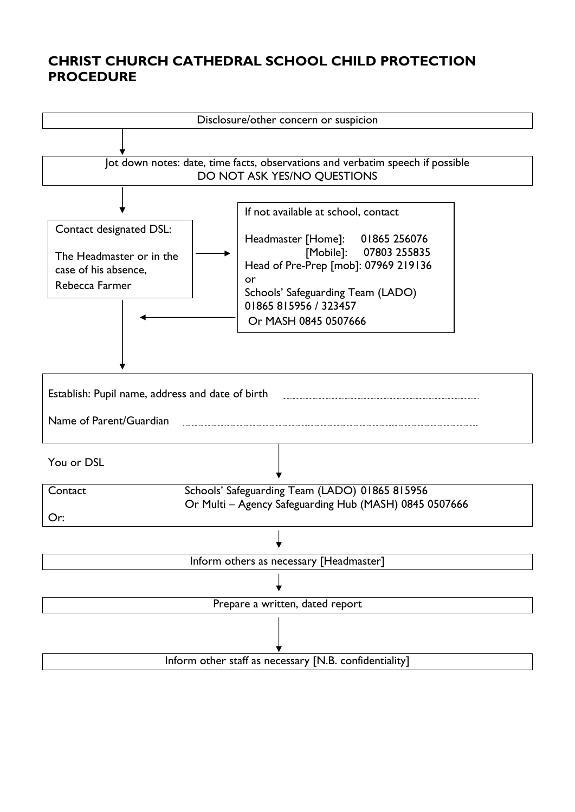## **CHRIST CHURCH CATHEDRAL SCHOOL CHILD PROTECTION PROCEDURE**

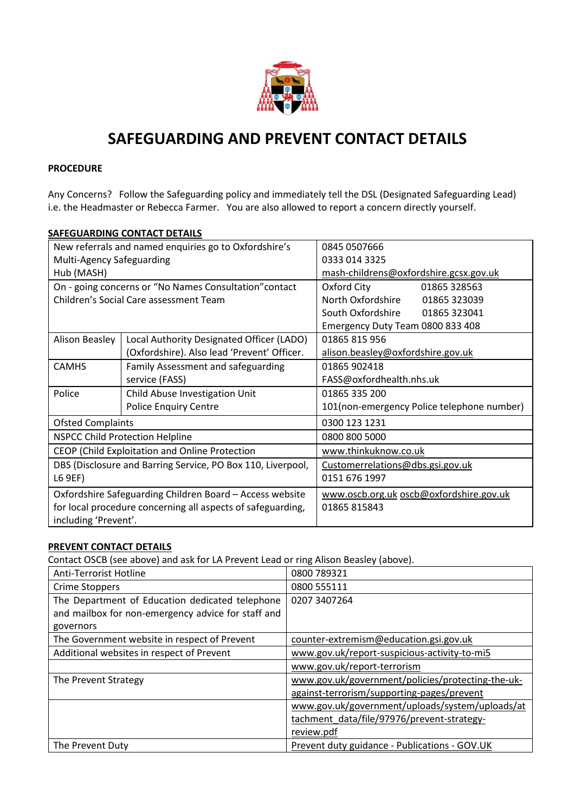

# **SAFEGUARDING AND PREVENT CONTACT DETAILS**

#### **PROCEDURE**

Any Concerns? Follow the Safeguarding policy and immediately tell the DSL (Designated Safeguarding Lead) i.e. the Headmaster or Rebecca Farmer. You are also allowed to report a concern directly yourself.

#### **SAFEGUARDING CONTACT DETAILS**

| New referrals and named enquiries go to Oxfordshire's       |                                             | 0845 0507666                               |
|-------------------------------------------------------------|---------------------------------------------|--------------------------------------------|
| Multi-Agency Safeguarding                                   |                                             | 0333 014 3325                              |
| Hub (MASH)                                                  |                                             | mash-childrens@oxfordshire.gcsx.gov.uk     |
| On - going concerns or "No Names Consultation" contact      |                                             | Oxford City<br>01865 328563                |
| Children's Social Care assessment Team                      |                                             | North Oxfordshire<br>01865 323039          |
|                                                             |                                             | South Oxfordshire<br>01865 323041          |
|                                                             |                                             | Emergency Duty Team 0800 833 408           |
| Alison Beasley                                              | Local Authority Designated Officer (LADO)   | 01865 815 956                              |
|                                                             | (Oxfordshire). Also lead 'Prevent' Officer. | alison.beasley@oxfordshire.gov.uk          |
| <b>CAMHS</b>                                                | Family Assessment and safeguarding          | 01865 902418                               |
|                                                             | service (FASS)                              | FASS@oxfordhealth.nhs.uk                   |
| Police                                                      | Child Abuse Investigation Unit              | 01865 335 200                              |
|                                                             | <b>Police Enquiry Centre</b>                | 101(non-emergency Police telephone number) |
| <b>Ofsted Complaints</b>                                    |                                             | 0300 123 1231                              |
| <b>NSPCC Child Protection Helpline</b>                      |                                             | 0800 800 5000                              |
| CEOP (Child Exploitation and Online Protection              |                                             | www.thinkuknow.co.uk                       |
| DBS (Disclosure and Barring Service, PO Box 110, Liverpool, |                                             | Customerrelations@dbs.gsi.gov.uk           |
| L6 9EF)                                                     |                                             | 0151 676 1997                              |
| Oxfordshire Safeguarding Children Board - Access website    |                                             | www.oscb.org.uk oscb@oxfordshire.gov.uk    |
| for local procedure concerning all aspects of safeguarding, |                                             | 01865815843                                |
| including 'Prevent'.                                        |                                             |                                            |

#### **PREVENT CONTACT DETAILS**

Contact OSCB (see above) and ask for LA Prevent Lead or ring Alison Beasley (above).

| Anti-Terrorist Hotline                             | 0800 789321                                       |
|----------------------------------------------------|---------------------------------------------------|
| <b>Crime Stoppers</b>                              | 0800 555111                                       |
| The Department of Education dedicated telephone    | 0207 3407264                                      |
| and mailbox for non-emergency advice for staff and |                                                   |
| governors                                          |                                                   |
| The Government website in respect of Prevent       | counter-extremism@education.gsi.gov.uk            |
| Additional websites in respect of Prevent          | www.gov.uk/report-suspicious-activity-to-mi5      |
|                                                    | www.gov.uk/report-terrorism                       |
| The Prevent Strategy                               | www.gov.uk/government/policies/protecting-the-uk- |
|                                                    | against-terrorism/supporting-pages/prevent        |
|                                                    | www.gov.uk/government/uploads/system/uploads/at   |
|                                                    | tachment data/file/97976/prevent-strategy-        |
|                                                    | review.pdf                                        |
| The Prevent Duty                                   | Prevent duty guidance - Publications - GOV.UK     |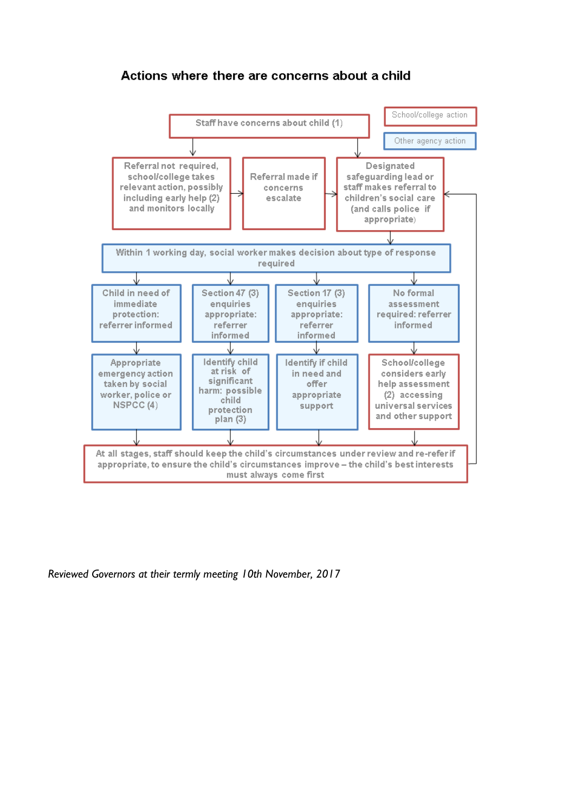## Actions where there are concerns about a child



#### *Reviewed Governors at their termly meeting 10th November, 2017*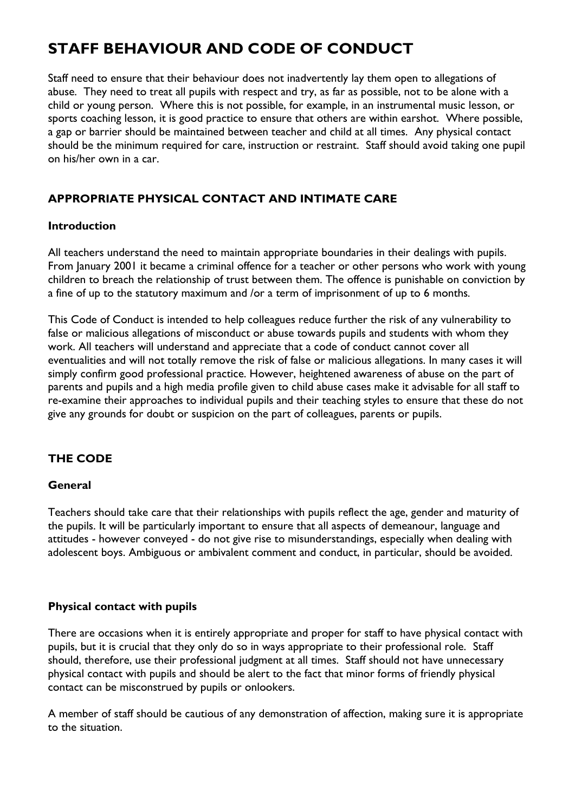# **STAFF BEHAVIOUR AND CODE OF CONDUCT**

Staff need to ensure that their behaviour does not inadvertently lay them open to allegations of abuse. They need to treat all pupils with respect and try, as far as possible, not to be alone with a child or young person. Where this is not possible, for example, in an instrumental music lesson, or sports coaching lesson, it is good practice to ensure that others are within earshot. Where possible, a gap or barrier should be maintained between teacher and child at all times. Any physical contact should be the minimum required for care, instruction or restraint. Staff should avoid taking one pupil on his/her own in a car.

## **APPROPRIATE PHYSICAL CONTACT AND INTIMATE CARE**

#### **Introduction**

All teachers understand the need to maintain appropriate boundaries in their dealings with pupils. From January 2001 it became a criminal offence for a teacher or other persons who work with young children to breach the relationship of trust between them. The offence is punishable on conviction by a fine of up to the statutory maximum and /or a term of imprisonment of up to 6 months*.* 

This Code of Conduct is intended to help colleagues reduce further the risk of any vulnerability to false or malicious allegations of misconduct or abuse towards pupils and students with whom they work. All teachers will understand and appreciate that a code of conduct cannot cover all eventualities and will not totally remove the risk of false or malicious allegations. In many cases it will simply confirm good professional practice. However, heightened awareness of abuse on the part of parents and pupils and a high media profile given to child abuse cases make it advisable for all staff to re-examine their approaches to individual pupils and their teaching styles to ensure that these do not give any grounds for doubt or suspicion on the part of colleagues, parents or pupils.

## **THE CODE**

## **General**

Teachers should take care that their relationships with pupils reflect the age, gender and maturity of the pupils. It will be particularly important to ensure that all aspects of demeanour, language and attitudes - however conveyed - do not give rise to misunderstandings, especially when dealing with adolescent boys. Ambiguous or ambivalent comment and conduct, in particular, should be avoided.

#### **Physical contact with pupils**

There are occasions when it is entirely appropriate and proper for staff to have physical contact with pupils, but it is crucial that they only do so in ways appropriate to their professional role. Staff should, therefore, use their professional judgment at all times. Staff should not have unnecessary physical contact with pupils and should be alert to the fact that minor forms of friendly physical contact can be misconstrued by pupils or onlookers.

A member of staff should be cautious of any demonstration of affection, making sure it is appropriate to the situation.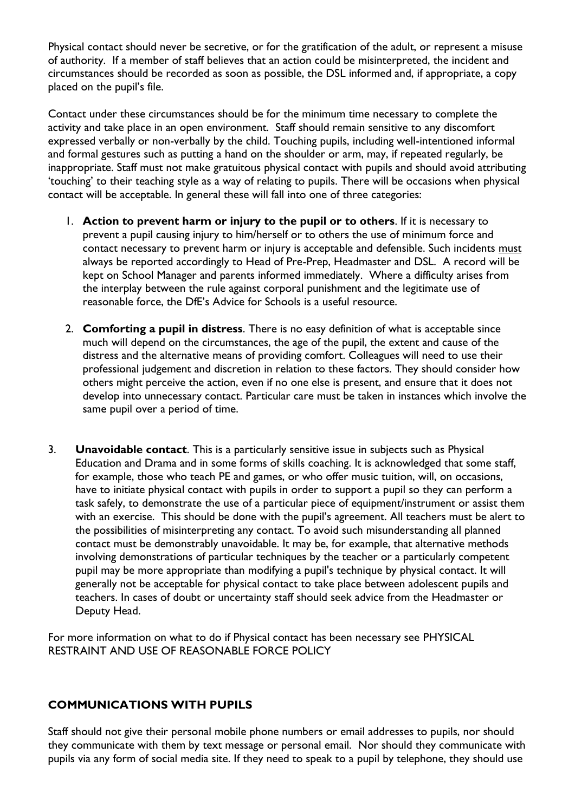Physical contact should never be secretive, or for the gratification of the adult, or represent a misuse of authority. If a member of staff believes that an action could be misinterpreted, the incident and circumstances should be recorded as soon as possible, the DSL informed and, if appropriate, a copy placed on the pupil's file.

Contact under these circumstances should be for the minimum time necessary to complete the activity and take place in an open environment. Staff should remain sensitive to any discomfort expressed verbally or non-verbally by the child. Touching pupils, including well-intentioned informal and formal gestures such as putting a hand on the shoulder or arm, may, if repeated regularly, be inappropriate. Staff must not make gratuitous physical contact with pupils and should avoid attributing 'touching' to their teaching style as a way of relating to pupils. There will be occasions when physical contact will be acceptable. In general these will fall into one of three categories:

- 1. **Action to prevent harm or injury to the pupil or to others**. If it is necessary to prevent a pupil causing injury to him/herself or to others the use of minimum force and contact necessary to prevent harm or injury is acceptable and defensible. Such incidents must always be reported accordingly to Head of Pre-Prep, Headmaster and DSL. A record will be kept on School Manager and parents informed immediately. Where a difficulty arises from the interplay between the rule against corporal punishment and the legitimate use of reasonable force, the DfE's Advice for Schools is a useful resource.
- 2. **Comforting a pupil in distress**. There is no easy definition of what is acceptable since much will depend on the circumstances, the age of the pupil, the extent and cause of the distress and the alternative means of providing comfort. Colleagues will need to use their professional judgement and discretion in relation to these factors. They should consider how others might perceive the action, even if no one else is present, and ensure that it does not develop into unnecessary contact. Particular care must be taken in instances which involve the same pupil over a period of time.
- 3. **Unavoidable contact**. This is a particularly sensitive issue in subjects such as Physical Education and Drama and in some forms of skills coaching. It is acknowledged that some staff, for example, those who teach PE and games, or who offer music tuition, will, on occasions, have to initiate physical contact with pupils in order to support a pupil so they can perform a task safely, to demonstrate the use of a particular piece of equipment/instrument or assist them with an exercise. This should be done with the pupil's agreement. All teachers must be alert to the possibilities of misinterpreting any contact. To avoid such misunderstanding all planned contact must be demonstrably unavoidable. It may be, for example, that alternative methods involving demonstrations of particular techniques by the teacher or a particularly competent pupil may be more appropriate than modifying a pupil's technique by physical contact. It will generally not be acceptable for physical contact to take place between adolescent pupils and teachers. In cases of doubt or uncertainty staff should seek advice from the Headmaster or Deputy Head.

For more information on what to do if Physical contact has been necessary see PHYSICAL RESTRAINT AND USE OF REASONABLE FORCE POLICY

## **COMMUNICATIONS WITH PUPILS**

Staff should not give their personal mobile phone numbers or email addresses to pupils, nor should they communicate with them by text message or personal email. Nor should they communicate with pupils via any form of social media site. If they need to speak to a pupil by telephone, they should use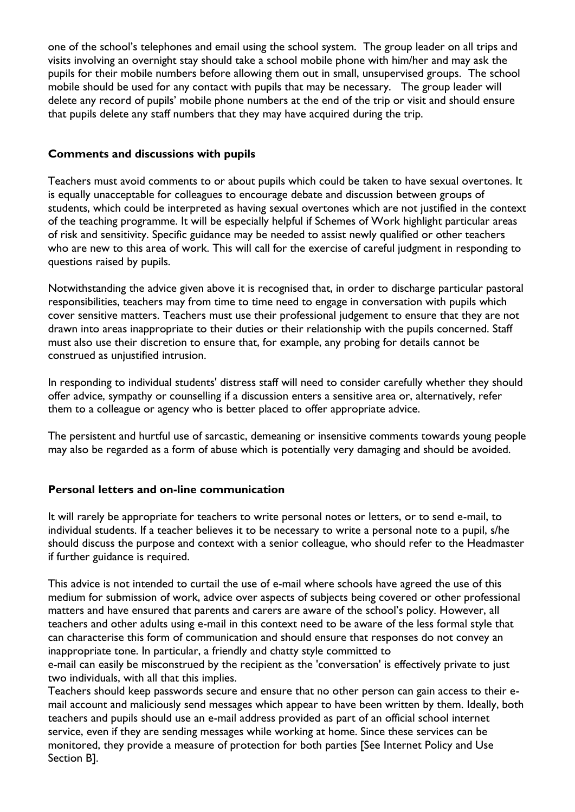one of the school's telephones and email using the school system. The group leader on all trips and visits involving an overnight stay should take a school mobile phone with him/her and may ask the pupils for their mobile numbers before allowing them out in small, unsupervised groups. The school mobile should be used for any contact with pupils that may be necessary. The group leader will delete any record of pupils' mobile phone numbers at the end of the trip or visit and should ensure that pupils delete any staff numbers that they may have acquired during the trip.

## **Comments and discussions with pupils**

Teachers must avoid comments to or about pupils which could be taken to have sexual overtones. It is equally unacceptable for colleagues to encourage debate and discussion between groups of students, which could be interpreted as having sexual overtones which are not justified in the context of the teaching programme. It will be especially helpful if Schemes of Work highlight particular areas of risk and sensitivity. Specific guidance may be needed to assist newly qualified or other teachers who are new to this area of work. This will call for the exercise of careful judgment in responding to questions raised by pupils.

Notwithstanding the advice given above it is recognised that, in order to discharge particular pastoral responsibilities, teachers may from time to time need to engage in conversation with pupils which cover sensitive matters. Teachers must use their professional judgement to ensure that they are not drawn into areas inappropriate to their duties or their relationship with the pupils concerned. Staff must also use their discretion to ensure that, for example, any probing for details cannot be construed as unjustified intrusion.

In responding to individual students' distress staff will need to consider carefully whether they should offer advice, sympathy or counselling if a discussion enters a sensitive area or, alternatively, refer them to a colleague or agency who is better placed to offer appropriate advice.

The persistent and hurtful use of sarcastic, demeaning or insensitive comments towards young people may also be regarded as a form of abuse which is potentially very damaging and should be avoided.

## **Personal letters and on-line communication**

It will rarely be appropriate for teachers to write personal notes or letters, or to send e-mail, to individual students. If a teacher believes it to be necessary to write a personal note to a pupil, s/he should discuss the purpose and context with a senior colleague, who should refer to the Headmaster if further guidance is required.

This advice is not intended to curtail the use of e-mail where schools have agreed the use of this medium for submission of work, advice over aspects of subjects being covered or other professional matters and have ensured that parents and carers are aware of the school's policy. However, all teachers and other adults using e-mail in this context need to be aware of the less formal style that can characterise this form of communication and should ensure that responses do not convey an inappropriate tone. In particular, a friendly and chatty style committed to

e-mail can easily be misconstrued by the recipient as the 'conversation' is effectively private to just two individuals, with all that this implies.

Teachers should keep passwords secure and ensure that no other person can gain access to their email account and maliciously send messages which appear to have been written by them. Ideally, both teachers and pupils should use an e-mail address provided as part of an official school internet service, even if they are sending messages while working at home. Since these services can be monitored, they provide a measure of protection for both parties [See Internet Policy and Use Section B].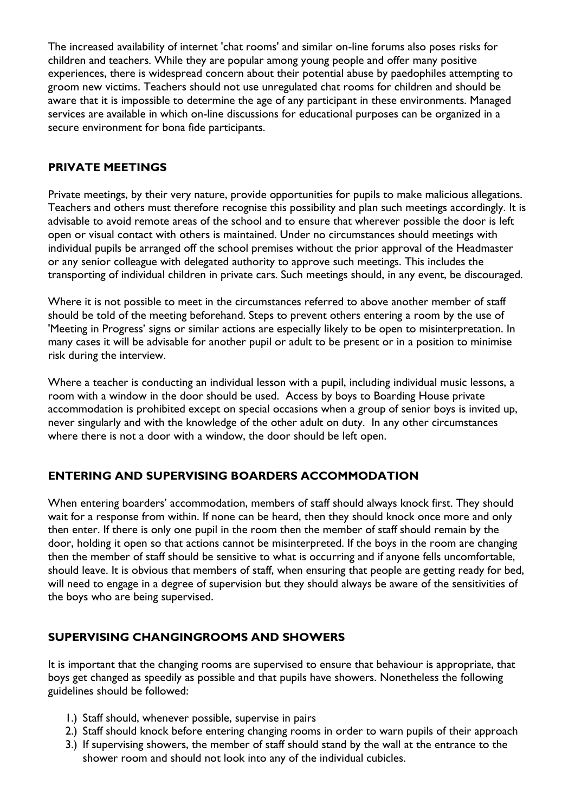The increased availability of internet 'chat rooms' and similar on-line forums also poses risks for children and teachers. While they are popular among young people and offer many positive experiences, there is widespread concern about their potential abuse by paedophiles attempting to groom new victims. Teachers should not use unregulated chat rooms for children and should be aware that it is impossible to determine the age of any participant in these environments. Managed services are available in which on-line discussions for educational purposes can be organized in a secure environment for bona fide participants.

## **PRIVATE MEETINGS**

Private meetings, by their very nature, provide opportunities for pupils to make malicious allegations. Teachers and others must therefore recognise this possibility and plan such meetings accordingly. It is advisable to avoid remote areas of the school and to ensure that wherever possible the door is left open or visual contact with others is maintained. Under no circumstances should meetings with individual pupils be arranged off the school premises without the prior approval of the Headmaster or any senior colleague with delegated authority to approve such meetings. This includes the transporting of individual children in private cars. Such meetings should, in any event, be discouraged.

Where it is not possible to meet in the circumstances referred to above another member of staff should be told of the meeting beforehand. Steps to prevent others entering a room by the use of 'Meeting in Progress' signs or similar actions are especially likely to be open to misinterpretation. In many cases it will be advisable for another pupil or adult to be present or in a position to minimise risk during the interview.

Where a teacher is conducting an individual lesson with a pupil, including individual music lessons, a room with a window in the door should be used. Access by boys to Boarding House private accommodation is prohibited except on special occasions when a group of senior boys is invited up, never singularly and with the knowledge of the other adult on duty. In any other circumstances where there is not a door with a window, the door should be left open.

## **ENTERING AND SUPERVISING BOARDERS ACCOMMODATION**

When entering boarders' accommodation, members of staff should always knock first. They should wait for a response from within. If none can be heard, then they should knock once more and only then enter. If there is only one pupil in the room then the member of staff should remain by the door, holding it open so that actions cannot be misinterpreted. If the boys in the room are changing then the member of staff should be sensitive to what is occurring and if anyone fells uncomfortable, should leave. It is obvious that members of staff, when ensuring that people are getting ready for bed, will need to engage in a degree of supervision but they should always be aware of the sensitivities of the boys who are being supervised.

## **SUPERVISING CHANGINGROOMS AND SHOWERS**

It is important that the changing rooms are supervised to ensure that behaviour is appropriate, that boys get changed as speedily as possible and that pupils have showers. Nonetheless the following guidelines should be followed:

- 1.) Staff should, whenever possible, supervise in pairs
- 2.) Staff should knock before entering changing rooms in order to warn pupils of their approach
- 3.) If supervising showers, the member of staff should stand by the wall at the entrance to the shower room and should not look into any of the individual cubicles.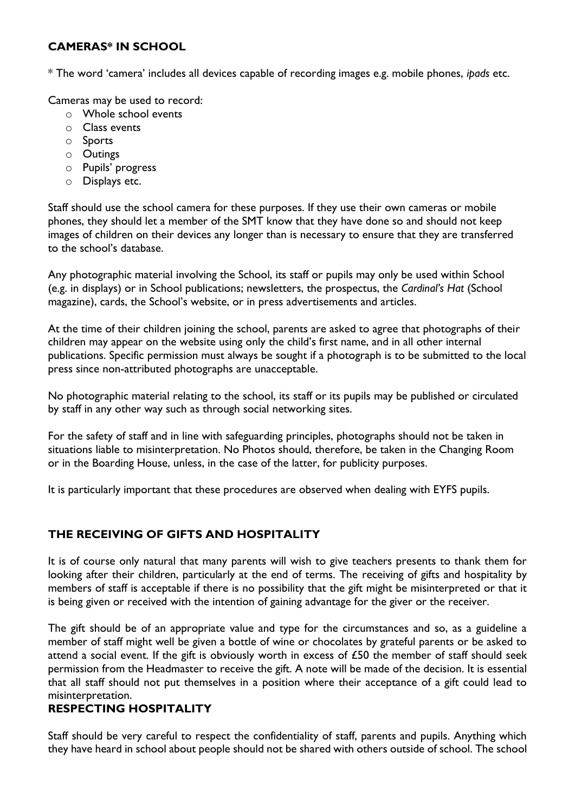## **CAMERAS\* IN SCHOOL**

\* The word 'camera' includes all devices capable of recording images e.g. mobile phones, *ipads* etc.

Cameras may be used to record:

- o Whole school events
- o Class events
- o Sports
- o Outings
- o Pupils' progress
- o Displays etc.

Staff should use the school camera for these purposes. If they use their own cameras or mobile phones, they should let a member of the SMT know that they have done so and should not keep images of children on their devices any longer than is necessary to ensure that they are transferred to the school's database.

Any photographic material involving the School, its staff or pupils may only be used within School (e.g. in displays) or in School publications; newsletters, the prospectus, the *Cardinal's Hat* (School magazine), cards, the School's website, or in press advertisements and articles.

At the time of their children joining the school, parents are asked to agree that photographs of their children may appear on the website using only the child's first name, and in all other internal publications. Specific permission must always be sought if a photograph is to be submitted to the local press since non-attributed photographs are unacceptable.

No photographic material relating to the school, its staff or its pupils may be published or circulated by staff in any other way such as through social networking sites.

For the safety of staff and in line with safeguarding principles, photographs should not be taken in situations liable to misinterpretation. No Photos should, therefore, be taken in the Changing Room or in the Boarding House, unless, in the case of the latter, for publicity purposes.

It is particularly important that these procedures are observed when dealing with EYFS pupils.

## **THE RECEIVING OF GIFTS AND HOSPITALITY**

It is of course only natural that many parents will wish to give teachers presents to thank them for looking after their children, particularly at the end of terms. The receiving of gifts and hospitality by members of staff is acceptable if there is no possibility that the gift might be misinterpreted or that it is being given or received with the intention of gaining advantage for the giver or the receiver.

The gift should be of an appropriate value and type for the circumstances and so, as a guideline a member of staff might well be given a bottle of wine or chocolates by grateful parents or be asked to attend a social event. If the gift is obviously worth in excess of  $£50$  the member of staff should seek permission from the Headmaster to receive the gift. A note will be made of the decision. It is essential that all staff should not put themselves in a position where their acceptance of a gift could lead to misinterpretation.

## **RESPECTING HOSPITALITY**

Staff should be very careful to respect the confidentiality of staff, parents and pupils. Anything which they have heard in school about people should not be shared with others outside of school. The school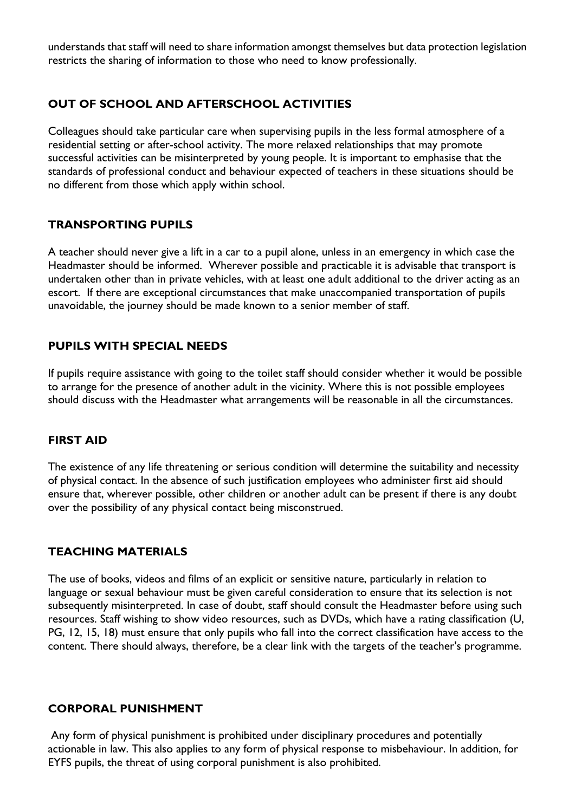understands that staff will need to share information amongst themselves but data protection legislation restricts the sharing of information to those who need to know professionally.

## **OUT OF SCHOOL AND AFTERSCHOOL ACTIVITIES**

Colleagues should take particular care when supervising pupils in the less formal atmosphere of a residential setting or after-school activity. The more relaxed relationships that may promote successful activities can be misinterpreted by young people. It is important to emphasise that the standards of professional conduct and behaviour expected of teachers in these situations should be no different from those which apply within school.

## **TRANSPORTING PUPILS**

A teacher should never give a lift in a car to a pupil alone, unless in an emergency in which case the Headmaster should be informed. Wherever possible and practicable it is advisable that transport is undertaken other than in private vehicles, with at least one adult additional to the driver acting as an escort. If there are exceptional circumstances that make unaccompanied transportation of pupils unavoidable, the journey should be made known to a senior member of staff.

## **PUPILS WITH SPECIAL NEEDS**

If pupils require assistance with going to the toilet staff should consider whether it would be possible to arrange for the presence of another adult in the vicinity. Where this is not possible employees should discuss with the Headmaster what arrangements will be reasonable in all the circumstances.

## **FIRST AID**

The existence of any life threatening or serious condition will determine the suitability and necessity of physical contact. In the absence of such justification employees who administer first aid should ensure that, wherever possible, other children or another adult can be present if there is any doubt over the possibility of any physical contact being misconstrued.

## **TEACHING MATERIALS**

The use of books, videos and films of an explicit or sensitive nature, particularly in relation to language or sexual behaviour must be given careful consideration to ensure that its selection is not subsequently misinterpreted. In case of doubt, staff should consult the Headmaster before using such resources. Staff wishing to show video resources, such as DVDs, which have a rating classification (U, PG, 12, 15, 18) must ensure that only pupils who fall into the correct classification have access to the content. There should always, therefore, be a clear link with the targets of the teacher's programme.

## **CORPORAL PUNISHMENT**

Any form of physical punishment is prohibited under disciplinary procedures and potentially actionable in law. This also applies to any form of physical response to misbehaviour. In addition, for EYFS pupils, the threat of using corporal punishment is also prohibited.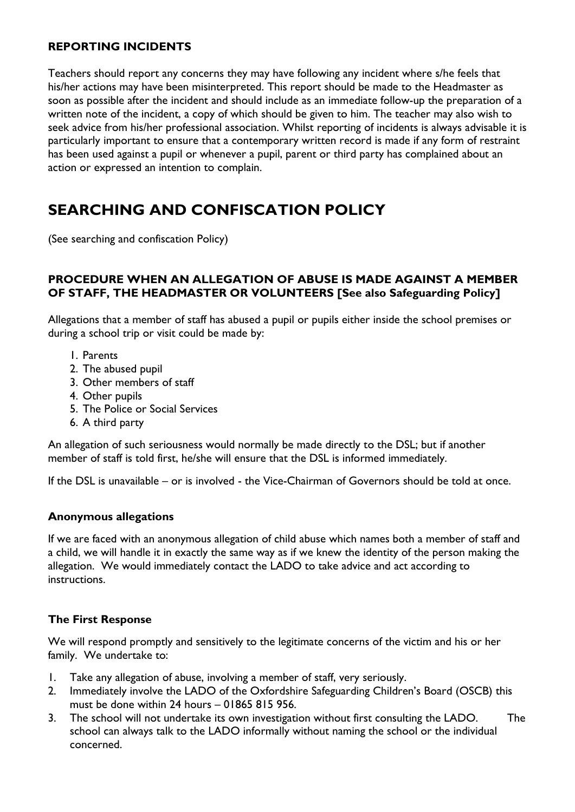## **REPORTING INCIDENTS**

Teachers should report any concerns they may have following any incident where s/he feels that his/her actions may have been misinterpreted. This report should be made to the Headmaster as soon as possible after the incident and should include as an immediate follow-up the preparation of a written note of the incident, a copy of which should be given to him. The teacher may also wish to seek advice from his/her professional association. Whilst reporting of incidents is always advisable it is particularly important to ensure that a contemporary written record is made if any form of restraint has been used against a pupil or whenever a pupil, parent or third party has complained about an action or expressed an intention to complain.

# **SEARCHING AND CONFISCATION POLICY**

(See searching and confiscation Policy)

#### **PROCEDURE WHEN AN ALLEGATION OF ABUSE IS MADE AGAINST A MEMBER OF STAFF, THE HEADMASTER OR VOLUNTEERS [See also Safeguarding Policy]**

Allegations that a member of staff has abused a pupil or pupils either inside the school premises or during a school trip or visit could be made by:

- 1. Parents
- 2. The abused pupil
- 3. Other members of staff
- 4. Other pupils
- 5. The Police or Social Services
- 6. A third party

An allegation of such seriousness would normally be made directly to the DSL; but if another member of staff is told first, he/she will ensure that the DSL is informed immediately.

If the DSL is unavailable – or is involved - the Vice-Chairman of Governors should be told at once.

## **Anonymous allegations**

If we are faced with an anonymous allegation of child abuse which names both a member of staff and a child, we will handle it in exactly the same way as if we knew the identity of the person making the allegation. We would immediately contact the LADO to take advice and act according to instructions.

## **The First Response**

We will respond promptly and sensitively to the legitimate concerns of the victim and his or her family. We undertake to:

- 1. Take any allegation of abuse, involving a member of staff, very seriously.
- 2. Immediately involve the LADO of the Oxfordshire Safeguarding Children's Board (OSCB) this must be done within 24 hours – 01865 815 956.
- 3. The school will not undertake its own investigation without first consulting the LADO. The school can always talk to the LADO informally without naming the school or the individual concerned.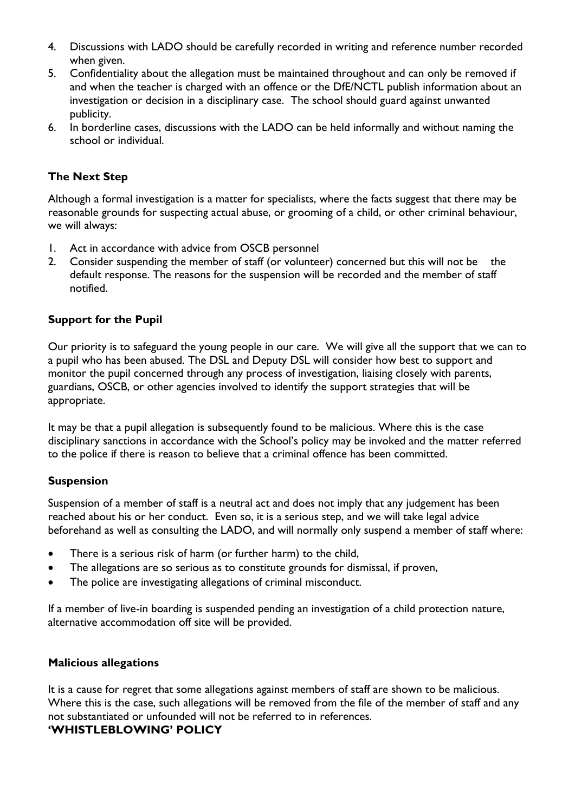- 4. Discussions with LADO should be carefully recorded in writing and reference number recorded when given.
- 5. Confidentiality about the allegation must be maintained throughout and can only be removed if and when the teacher is charged with an offence or the DfE/NCTL publish information about an investigation or decision in a disciplinary case. The school should guard against unwanted publicity.
- 6. In borderline cases, discussions with the LADO can be held informally and without naming the school or individual.

## **The Next Step**

Although a formal investigation is a matter for specialists, where the facts suggest that there may be reasonable grounds for suspecting actual abuse, or grooming of a child, or other criminal behaviour, we will always:

- 1. Act in accordance with advice from OSCB personnel
- 2. Consider suspending the member of staff (or volunteer) concerned but this will not be the default response. The reasons for the suspension will be recorded and the member of staff notified.

## **Support for the Pupil**

Our priority is to safeguard the young people in our care. We will give all the support that we can to a pupil who has been abused. The DSL and Deputy DSL will consider how best to support and monitor the pupil concerned through any process of investigation, liaising closely with parents, guardians, OSCB, or other agencies involved to identify the support strategies that will be appropriate.

It may be that a pupil allegation is subsequently found to be malicious. Where this is the case disciplinary sanctions in accordance with the School's policy may be invoked and the matter referred to the police if there is reason to believe that a criminal offence has been committed.

## **Suspension**

Suspension of a member of staff is a neutral act and does not imply that any judgement has been reached about his or her conduct. Even so, it is a serious step, and we will take legal advice beforehand as well as consulting the LADO, and will normally only suspend a member of staff where:

- There is a serious risk of harm (or further harm) to the child,
- The allegations are so serious as to constitute grounds for dismissal, if proven,
- The police are investigating allegations of criminal misconduct.

If a member of live-in boarding is suspended pending an investigation of a child protection nature, alternative accommodation off site will be provided.

## **Malicious allegations**

It is a cause for regret that some allegations against members of staff are shown to be malicious. Where this is the case, such allegations will be removed from the file of the member of staff and any not substantiated or unfounded will not be referred to in references.

#### **'WHISTLEBLOWING' POLICY**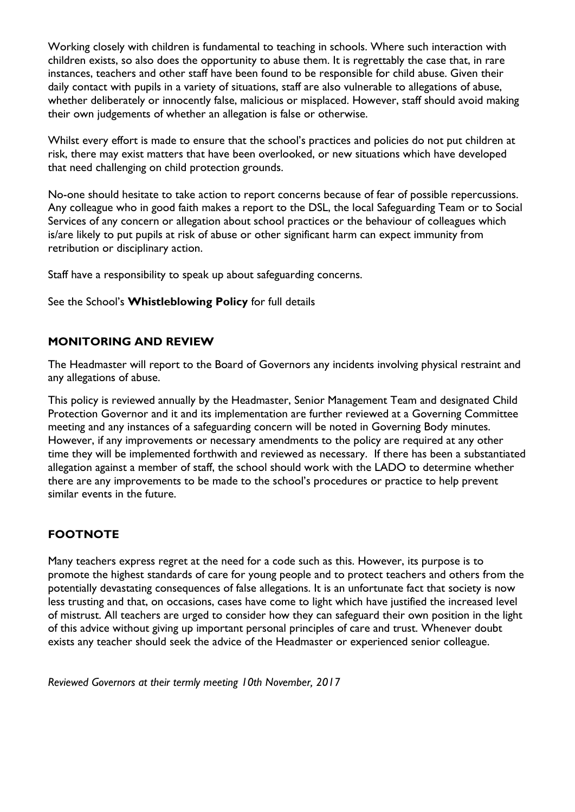Working closely with children is fundamental to teaching in schools. Where such interaction with children exists, so also does the opportunity to abuse them. It is regrettably the case that, in rare instances, teachers and other staff have been found to be responsible for child abuse. Given their daily contact with pupils in a variety of situations, staff are also vulnerable to allegations of abuse, whether deliberately or innocently false, malicious or misplaced. However, staff should avoid making their own judgements of whether an allegation is false or otherwise.

Whilst every effort is made to ensure that the school's practices and policies do not put children at risk, there may exist matters that have been overlooked, or new situations which have developed that need challenging on child protection grounds.

No-one should hesitate to take action to report concerns because of fear of possible repercussions. Any colleague who in good faith makes a report to the DSL, the local Safeguarding Team or to Social Services of any concern or allegation about school practices or the behaviour of colleagues which is/are likely to put pupils at risk of abuse or other significant harm can expect immunity from retribution or disciplinary action.

Staff have a responsibility to speak up about safeguarding concerns.

See the School's **Whistleblowing Policy** for full details

## **MONITORING AND REVIEW**

The Headmaster will report to the Board of Governors any incidents involving physical restraint and any allegations of abuse.

This policy is reviewed annually by the Headmaster, Senior Management Team and designated Child Protection Governor and it and its implementation are further reviewed at a Governing Committee meeting and any instances of a safeguarding concern will be noted in Governing Body minutes. However, if any improvements or necessary amendments to the policy are required at any other time they will be implemented forthwith and reviewed as necessary. If there has been a substantiated allegation against a member of staff, the school should work with the LADO to determine whether there are any improvements to be made to the school's procedures or practice to help prevent similar events in the future.

## **FOOTNOTE**

Many teachers express regret at the need for a code such as this. However, its purpose is to promote the highest standards of care for young people and to protect teachers and others from the potentially devastating consequences of false allegations. It is an unfortunate fact that society is now less trusting and that, on occasions, cases have come to light which have justified the increased level of mistrust. All teachers are urged to consider how they can safeguard their own position in the light of this advice without giving up important personal principles of care and trust. Whenever doubt exists any teacher should seek the advice of the Headmaster or experienced senior colleague.

*Reviewed Governors at their termly meeting 10th November, 2017*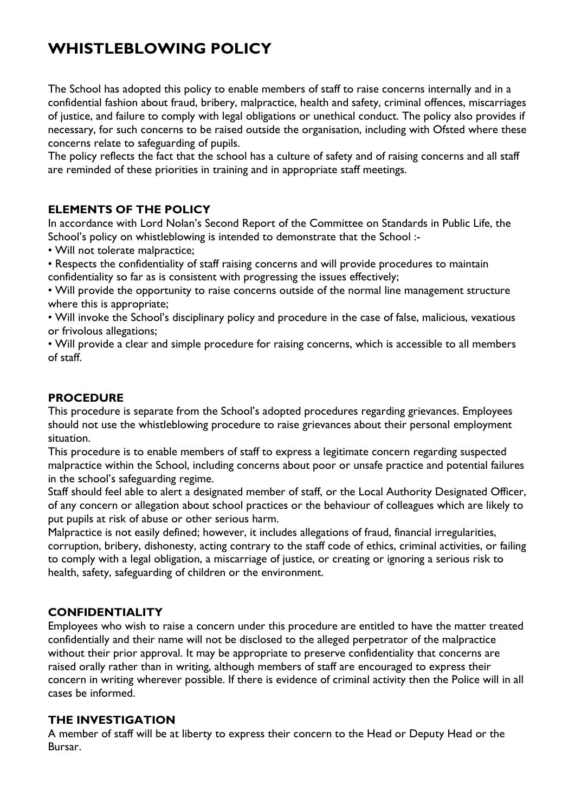# **WHISTLEBLOWING POLICY**

The School has adopted this policy to enable members of staff to raise concerns internally and in a confidential fashion about fraud, bribery, malpractice, health and safety, criminal offences, miscarriages of justice, and failure to comply with legal obligations or unethical conduct. The policy also provides if necessary, for such concerns to be raised outside the organisation, including with Ofsted where these concerns relate to safeguarding of pupils.

The policy reflects the fact that the school has a culture of safety and of raising concerns and all staff are reminded of these priorities in training and in appropriate staff meetings.

## **ELEMENTS OF THE POLICY**

In accordance with Lord Nolan's Second Report of the Committee on Standards in Public Life, the School's policy on whistleblowing is intended to demonstrate that the School :-

• Will not tolerate malpractice;

• Respects the confidentiality of staff raising concerns and will provide procedures to maintain confidentiality so far as is consistent with progressing the issues effectively;

• Will provide the opportunity to raise concerns outside of the normal line management structure where this is appropriate;

• Will invoke the School's disciplinary policy and procedure in the case of false, malicious, vexatious or frivolous allegations;

• Will provide a clear and simple procedure for raising concerns, which is accessible to all members of staff.

## **PROCEDURE**

This procedure is separate from the School's adopted procedures regarding grievances. Employees should not use the whistleblowing procedure to raise grievances about their personal employment situation.

This procedure is to enable members of staff to express a legitimate concern regarding suspected malpractice within the School, including concerns about poor or unsafe practice and potential failures in the school's safeguarding regime.

Staff should feel able to alert a designated member of staff, or the Local Authority Designated Officer, of any concern or allegation about school practices or the behaviour of colleagues which are likely to put pupils at risk of abuse or other serious harm.

Malpractice is not easily defined; however, it includes allegations of fraud, financial irregularities, corruption, bribery, dishonesty, acting contrary to the staff code of ethics, criminal activities, or failing to comply with a legal obligation, a miscarriage of justice, or creating or ignoring a serious risk to health, safety, safeguarding of children or the environment.

## **CONFIDENTIALITY**

Employees who wish to raise a concern under this procedure are entitled to have the matter treated confidentially and their name will not be disclosed to the alleged perpetrator of the malpractice without their prior approval. It may be appropriate to preserve confidentiality that concerns are raised orally rather than in writing, although members of staff are encouraged to express their concern in writing wherever possible. If there is evidence of criminal activity then the Police will in all cases be informed.

## **THE INVESTIGATION**

A member of staff will be at liberty to express their concern to the Head or Deputy Head or the Bursar.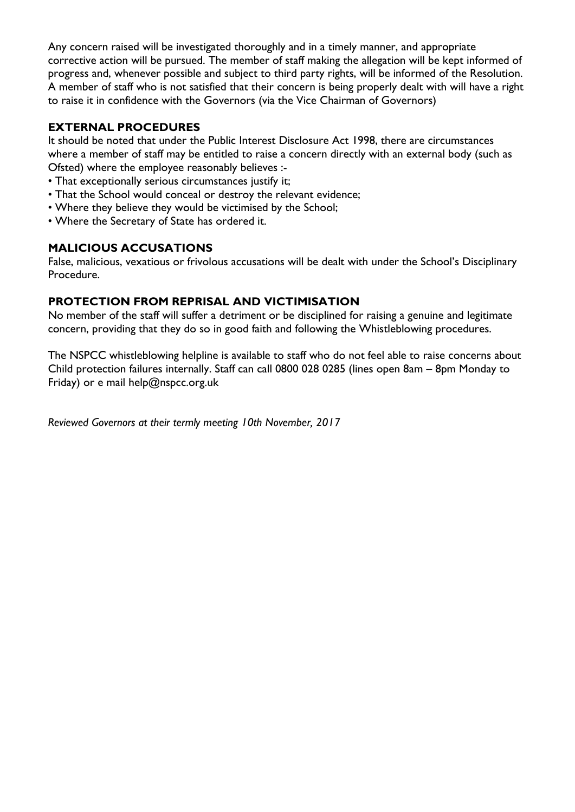Any concern raised will be investigated thoroughly and in a timely manner, and appropriate corrective action will be pursued. The member of staff making the allegation will be kept informed of progress and, whenever possible and subject to third party rights, will be informed of the Resolution. A member of staff who is not satisfied that their concern is being properly dealt with will have a right to raise it in confidence with the Governors (via the Vice Chairman of Governors)

## **EXTERNAL PROCEDURES**

It should be noted that under the Public Interest Disclosure Act 1998, there are circumstances where a member of staff may be entitled to raise a concern directly with an external body (such as Ofsted) where the employee reasonably believes :-

- That exceptionally serious circumstances justify it;
- That the School would conceal or destroy the relevant evidence;
- Where they believe they would be victimised by the School;
- Where the Secretary of State has ordered it.

## **MALICIOUS ACCUSATIONS**

False, malicious, vexatious or frivolous accusations will be dealt with under the School's Disciplinary Procedure.

## **PROTECTION FROM REPRISAL AND VICTIMISATION**

No member of the staff will suffer a detriment or be disciplined for raising a genuine and legitimate concern, providing that they do so in good faith and following the Whistleblowing procedures.

The NSPCC whistleblowing helpline is available to staff who do not feel able to raise concerns about Child protection failures internally. Staff can call 0800 028 0285 (lines open 8am – 8pm Monday to Friday) or e mail help@nspcc.org.uk

*Reviewed Governors at their termly meeting 10th November, 2017*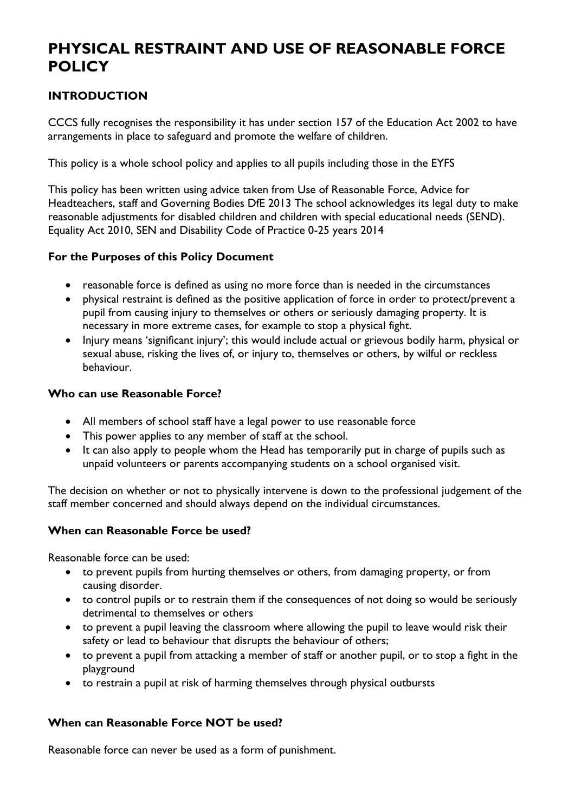# **PHYSICAL RESTRAINT AND USE OF REASONABLE FORCE POLICY**

## **INTRODUCTION**

CCCS fully recognises the responsibility it has under section 157 of the Education Act 2002 to have arrangements in place to safeguard and promote the welfare of children.

This policy is a whole school policy and applies to all pupils including those in the EYFS

This policy has been written using advice taken from Use of Reasonable Force, Advice for Headteachers, staff and Governing Bodies DfE 2013 The school acknowledges its legal duty to make reasonable adjustments for disabled children and children with special educational needs (SEND). Equality Act 2010, SEN and Disability Code of Practice 0-25 years 2014

## **For the Purposes of this Policy Document**

- reasonable force is defined as using no more force than is needed in the circumstances
- physical restraint is defined as the positive application of force in order to protect/prevent a pupil from causing injury to themselves or others or seriously damaging property. It is necessary in more extreme cases, for example to stop a physical fight.
- Injury means 'significant injury'; this would include actual or grievous bodily harm, physical or sexual abuse, risking the lives of, or injury to, themselves or others, by wilful or reckless behaviour.

## **Who can use Reasonable Force?**

- All members of school staff have a legal power to use reasonable force
- This power applies to any member of staff at the school.
- It can also apply to people whom the Head has temporarily put in charge of pupils such as unpaid volunteers or parents accompanying students on a school organised visit.

The decision on whether or not to physically intervene is down to the professional judgement of the staff member concerned and should always depend on the individual circumstances.

## **When can Reasonable Force be used?**

Reasonable force can be used:

- to prevent pupils from hurting themselves or others, from damaging property, or from causing disorder.
- to control pupils or to restrain them if the consequences of not doing so would be seriously detrimental to themselves or others
- to prevent a pupil leaving the classroom where allowing the pupil to leave would risk their safety or lead to behaviour that disrupts the behaviour of others;
- to prevent a pupil from attacking a member of staff or another pupil, or to stop a fight in the playground
- to restrain a pupil at risk of harming themselves through physical outbursts

## **When can Reasonable Force NOT be used?**

Reasonable force can never be used as a form of punishment.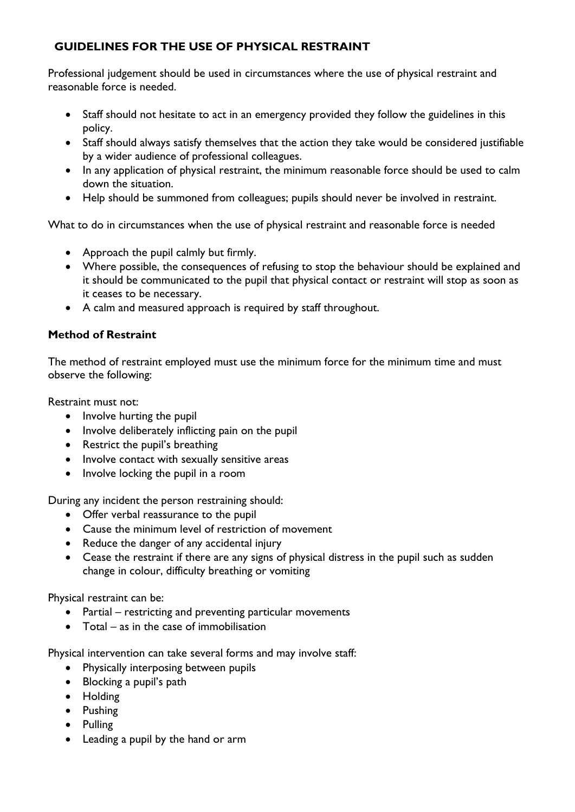## **GUIDELINES FOR THE USE OF PHYSICAL RESTRAINT**

Professional judgement should be used in circumstances where the use of physical restraint and reasonable force is needed.

- Staff should not hesitate to act in an emergency provided they follow the guidelines in this policy.
- Staff should always satisfy themselves that the action they take would be considered justifiable by a wider audience of professional colleagues.
- In any application of physical restraint, the minimum reasonable force should be used to calm down the situation.
- Help should be summoned from colleagues; pupils should never be involved in restraint.

What to do in circumstances when the use of physical restraint and reasonable force is needed

- Approach the pupil calmly but firmly.
- Where possible, the consequences of refusing to stop the behaviour should be explained and it should be communicated to the pupil that physical contact or restraint will stop as soon as it ceases to be necessary.
- A calm and measured approach is required by staff throughout.

## **Method of Restraint**

The method of restraint employed must use the minimum force for the minimum time and must observe the following:

Restraint must not:

- Involve hurting the pupil
- Involve deliberately inflicting pain on the pupil
- Restrict the pupil's breathing
- Involve contact with sexually sensitive areas
- Involve locking the pupil in a room

During any incident the person restraining should:

- Offer verbal reassurance to the pupil
- Cause the minimum level of restriction of movement
- Reduce the danger of any accidental injury
- Cease the restraint if there are any signs of physical distress in the pupil such as sudden change in colour, difficulty breathing or vomiting

Physical restraint can be:

- Partial restricting and preventing particular movements
- Total as in the case of immobilisation

Physical intervention can take several forms and may involve staff:

- Physically interposing between pupils
- Blocking a pupil's path
- Holding
- Pushing
- Pulling
- Leading a pupil by the hand or arm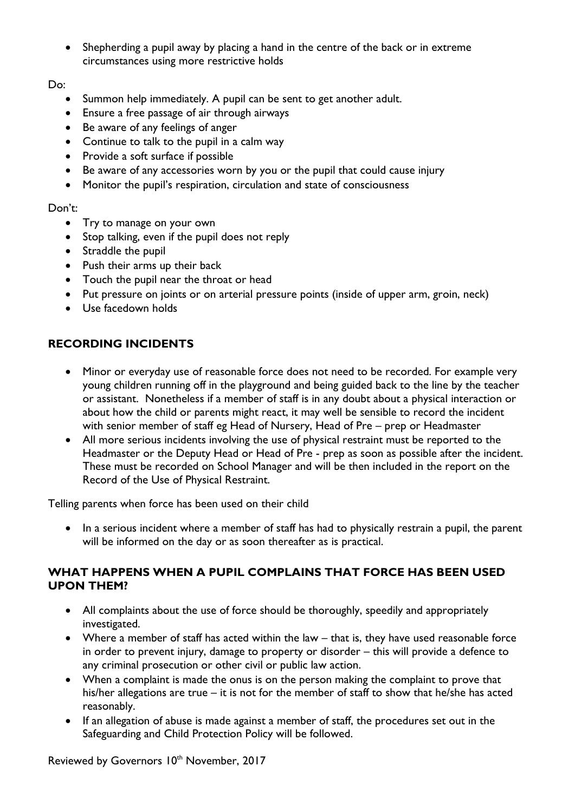Shepherding a pupil away by placing a hand in the centre of the back or in extreme circumstances using more restrictive holds

Do:

- Summon help immediately. A pupil can be sent to get another adult.
- Ensure a free passage of air through airways
- Be aware of any feelings of anger
- Continue to talk to the pupil in a calm way
- Provide a soft surface if possible
- Be aware of any accessories worn by you or the pupil that could cause injury
- Monitor the pupil's respiration, circulation and state of consciousness

Don't:

- Try to manage on your own
- Stop talking, even if the pupil does not reply
- Straddle the pupil
- Push their arms up their back
- Touch the pupil near the throat or head
- Put pressure on joints or on arterial pressure points (inside of upper arm, groin, neck)
- Use facedown holds

## **RECORDING INCIDENTS**

- Minor or everyday use of reasonable force does not need to be recorded. For example very young children running off in the playground and being guided back to the line by the teacher or assistant. Nonetheless if a member of staff is in any doubt about a physical interaction or about how the child or parents might react, it may well be sensible to record the incident with senior member of staff eg Head of Nursery, Head of Pre – prep or Headmaster
- All more serious incidents involving the use of physical restraint must be reported to the Headmaster or the Deputy Head or Head of Pre - prep as soon as possible after the incident. These must be recorded on School Manager and will be then included in the report on the Record of the Use of Physical Restraint.

Telling parents when force has been used on their child

 In a serious incident where a member of staff has had to physically restrain a pupil, the parent will be informed on the day or as soon thereafter as is practical.

## **WHAT HAPPENS WHEN A PUPIL COMPLAINS THAT FORCE HAS BEEN USED UPON THEM?**

- All complaints about the use of force should be thoroughly, speedily and appropriately investigated.
- Where a member of staff has acted within the law that is, they have used reasonable force in order to prevent injury, damage to property or disorder – this will provide a defence to any criminal prosecution or other civil or public law action.
- When a complaint is made the onus is on the person making the complaint to prove that his/her allegations are true – it is not for the member of staff to show that he/she has acted reasonably.
- If an allegation of abuse is made against a member of staff, the procedures set out in the Safeguarding and Child Protection Policy will be followed.

Reviewed by Governors 10th November, 2017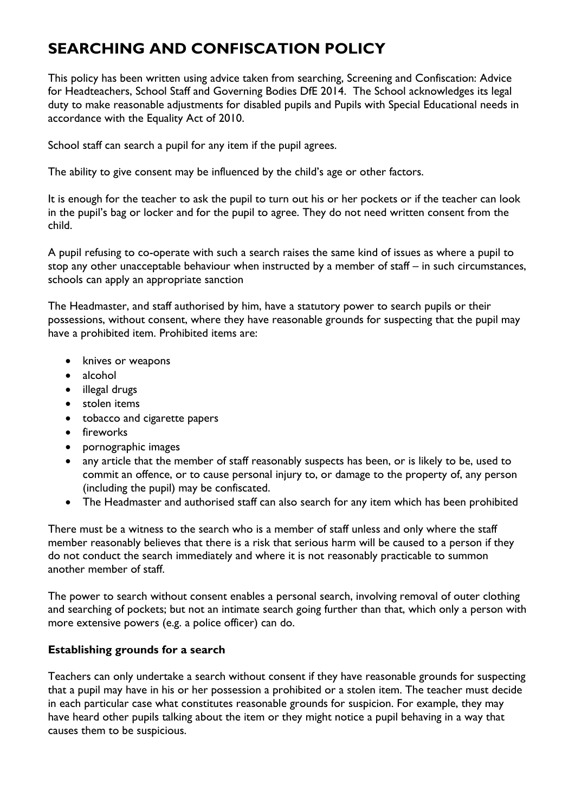# **SEARCHING AND CONFISCATION POLICY**

This policy has been written using advice taken from searching, Screening and Confiscation: Advice for Headteachers, School Staff and Governing Bodies DfE 2014. The School acknowledges its legal duty to make reasonable adjustments for disabled pupils and Pupils with Special Educational needs in accordance with the Equality Act of 2010.

School staff can search a pupil for any item if the pupil agrees.

The ability to give consent may be influenced by the child's age or other factors.

It is enough for the teacher to ask the pupil to turn out his or her pockets or if the teacher can look in the pupil's bag or locker and for the pupil to agree. They do not need written consent from the child.

A pupil refusing to co-operate with such a search raises the same kind of issues as where a pupil to stop any other unacceptable behaviour when instructed by a member of staff – in such circumstances, schools can apply an appropriate sanction

The Headmaster, and staff authorised by him, have a statutory power to search pupils or their possessions, without consent, where they have reasonable grounds for suspecting that the pupil may have a prohibited item. Prohibited items are:

- knives or weapons
- alcohol
- illegal drugs
- stolen items
- tobacco and cigarette papers
- fireworks
- pornographic images
- any article that the member of staff reasonably suspects has been, or is likely to be, used to commit an offence, or to cause personal injury to, or damage to the property of, any person (including the pupil) may be confiscated.
- The Headmaster and authorised staff can also search for any item which has been prohibited

There must be a witness to the search who is a member of staff unless and only where the staff member reasonably believes that there is a risk that serious harm will be caused to a person if they do not conduct the search immediately and where it is not reasonably practicable to summon another member of staff.

The power to search without consent enables a personal search, involving removal of outer clothing and searching of pockets; but not an intimate search going further than that, which only a person with more extensive powers (e.g. a police officer) can do.

## **Establishing grounds for a search**

Teachers can only undertake a search without consent if they have reasonable grounds for suspecting that a pupil may have in his or her possession a prohibited or a stolen item. The teacher must decide in each particular case what constitutes reasonable grounds for suspicion. For example, they may have heard other pupils talking about the item or they might notice a pupil behaving in a way that causes them to be suspicious.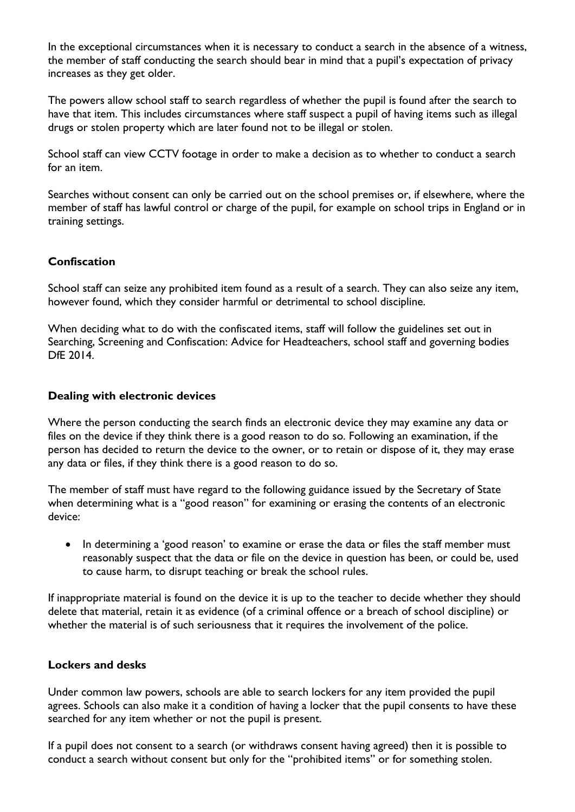In the exceptional circumstances when it is necessary to conduct a search in the absence of a witness, the member of staff conducting the search should bear in mind that a pupil's expectation of privacy increases as they get older.

The powers allow school staff to search regardless of whether the pupil is found after the search to have that item. This includes circumstances where staff suspect a pupil of having items such as illegal drugs or stolen property which are later found not to be illegal or stolen.

School staff can view CCTV footage in order to make a decision as to whether to conduct a search for an item.

Searches without consent can only be carried out on the school premises or, if elsewhere, where the member of staff has lawful control or charge of the pupil, for example on school trips in England or in training settings.

## **Confiscation**

School staff can seize any prohibited item found as a result of a search. They can also seize any item, however found, which they consider harmful or detrimental to school discipline.

When deciding what to do with the confiscated items, staff will follow the guidelines set out in Searching, Screening and Confiscation: Advice for Headteachers, school staff and governing bodies DfE 2014.

## **Dealing with electronic devices**

Where the person conducting the search finds an electronic device they may examine any data or files on the device if they think there is a good reason to do so. Following an examination, if the person has decided to return the device to the owner, or to retain or dispose of it, they may erase any data or files, if they think there is a good reason to do so.

The member of staff must have regard to the following guidance issued by the Secretary of State when determining what is a "good reason" for examining or erasing the contents of an electronic device:

• In determining a 'good reason' to examine or erase the data or files the staff member must reasonably suspect that the data or file on the device in question has been, or could be, used to cause harm, to disrupt teaching or break the school rules.

If inappropriate material is found on the device it is up to the teacher to decide whether they should delete that material, retain it as evidence (of a criminal offence or a breach of school discipline) or whether the material is of such seriousness that it requires the involvement of the police.

#### **Lockers and desks**

Under common law powers, schools are able to search lockers for any item provided the pupil agrees. Schools can also make it a condition of having a locker that the pupil consents to have these searched for any item whether or not the pupil is present.

If a pupil does not consent to a search (or withdraws consent having agreed) then it is possible to conduct a search without consent but only for the "prohibited items" or for something stolen.